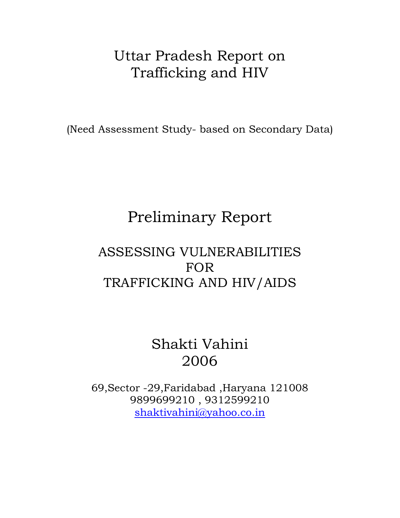## Uttar Pradesh Report on Trafficking and HIV

(Need Assessment Study- based on Secondary Data)

# Preliminary Report

## ASSESSING VULNERABILITIES FOR TRAFFICKING AND HIV/AIDS

## Shakti Vahini 2006

69,Sector -29,Faridabad ,Haryana 121008 9899699210 , 9312599210 [shaktivahini@yahoo.co.in](mailto:shaktivahini@yahoo.co.in)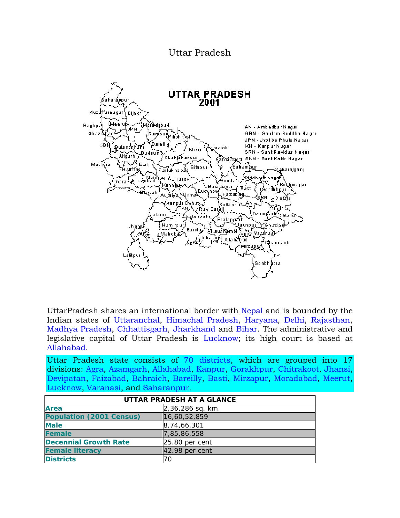#### Uttar Pradesh



UttarPradesh shares an international border with [Nepal](http://en.wikipedia.org/wiki/Nepal) and is bounded by the Indian states of [Uttaranchal,](http://en.wikipedia.org/wiki/Uttaranchal) [Himachal Pradesh,](http://en.wikipedia.org/wiki/Himachal_Pradesh) [Haryana,](http://en.wikipedia.org/wiki/Haryana) [Delhi](http://en.wikipedia.org/wiki/Delhi), [Rajasthan](http://en.wikipedia.org/wiki/Rajasthan), [Madhya Pradesh,](http://en.wikipedia.org/wiki/Madhya_Pradesh) [Chhattisgarh,](http://en.wikipedia.org/wiki/Chhattisgarh) [Jharkhand](http://en.wikipedia.org/wiki/Jharkhand) and [Bihar](http://en.wikipedia.org/wiki/Bihar). The administrative and legislative capital of Uttar Pradesh is [Lucknow;](http://en.wikipedia.org/wiki/Lucknow) its high court is based at [Allahabad](http://en.wikipedia.org/wiki/Allahabad).

Uttar Pradesh state consists of [70 districts,](http://en.wikipedia.org/wiki/Districts_of_Uttar_Pradesh) which are grouped into 17 divisions: [Agra,](http://en.wikipedia.org/wiki/Agra) [Azamgarh](http://en.wikipedia.org/wiki/Azamgarh), [Allahabad](http://en.wikipedia.org/wiki/Allahabad), [Kanpur,](http://en.wikipedia.org/wiki/Kanpur) [Gorakhpur,](http://en.wikipedia.org/wiki/Gorakhpur) [Chitrakoot](http://en.wikipedia.org/wiki/Chitrakoot), [Jhansi](http://en.wikipedia.org/wiki/Jhansi), [Devipatan,](http://en.wikipedia.org/w/index.php?title=Devipatan&action=edit) [Faizabad](http://en.wikipedia.org/wiki/Faizabad), [Bahraich,](http://en.wikipedia.org/wiki/Bahraich) [Bareilly](http://en.wikipedia.org/wiki/Bareilly), [Basti](http://en.wikipedia.org/wiki/Basti), [Mirzapur,](http://en.wikipedia.org/wiki/Mirzapur) [Moradabad,](http://en.wikipedia.org/wiki/Moradabad) [Meerut](http://en.wikipedia.org/wiki/Meerut), [Lucknow](http://en.wikipedia.org/wiki/Lucknow), [Varanasi](http://en.wikipedia.org/wiki/Varanasi), and [Saharanpur](http://en.wikipedia.org/wiki/Saharanpur).

| UTTAR PRADESH AT A GLANCE       |                  |  |  |  |
|---------------------------------|------------------|--|--|--|
| <b>Area</b><br>2,36,286 sq. km. |                  |  |  |  |
| <b>Population (2001 Census)</b> | 16,60,52,859     |  |  |  |
| <b>Male</b>                     | 8, 74, 66, 301   |  |  |  |
| <b>Female</b>                   | 7,85,86,558      |  |  |  |
| <b>Decennial Growth Rate</b>    | $25.80$ per cent |  |  |  |
| <b>Female literacy</b>          | $42.98$ per cent |  |  |  |
| <b>Districts</b>                | 70               |  |  |  |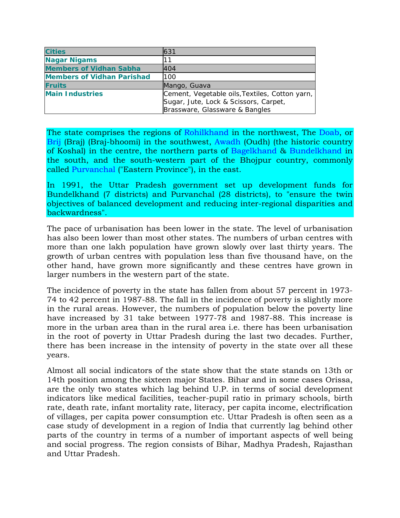| <b>Cities</b>                     | 631                                              |
|-----------------------------------|--------------------------------------------------|
| <b>Nagar Nigams</b>               | 11                                               |
| <b>Members of Vidhan Sabha</b>    | 404                                              |
| <b>Members of Vidhan Parishad</b> | 100                                              |
| <b>Fruits</b>                     | Mango, Guava                                     |
| <b>Main Industries</b>            | Cement, Vegetable oils, Textiles, Cotton yarn, I |
|                                   | Sugar, Jute, Lock & Scissors, Carpet,            |
|                                   | Brassware, Glassware & Bangles                   |

The state comprises the regions of [Rohilkhand](http://en.wikipedia.org/wiki/Rohilkhand) in the northwest, The [Doab](http://en.wikipedia.org/wiki/Doab), or [Brij](http://en.wikipedia.org/wiki/Brij) (Braj) (Braj-bhoomi) in the southwest, [Awadh](http://en.wikipedia.org/wiki/Awadh) (Oudh) (the historic country of Koshal) in the centre, the northern parts of [Bagelkhand](http://en.wikipedia.org/wiki/Bagelkhand) & [Bundelkhand](http://en.wikipedia.org/wiki/Bundelkhand) in the south, and the south-western part of the Bhojpur country, commonly called [Purvanchal](http://en.wikipedia.org/wiki/Purvanchal) ("Eastern Province"), in the east.

In 1991, the Uttar Pradesh government set up development funds for Bundelkhand (7 districts) and Purvanchal (28 districts), to "ensure the twin objectives of balanced development and reducing inter-regional disparities and backwardness".

The pace of urbanisation has been lower in the state. The level of urbanisation has also been lower than most other states. The numbers of urban centres with more than one lakh population have grown slowly over last thirty years. The growth of urban centres with population less than five thousand have, on the other hand, have grown more significantly and these centres have grown in larger numbers in the western part of the state.

The incidence of poverty in the state has fallen from about 57 percent in 1973- 74 to 42 percent in 1987-88. The fall in the incidence of poverty is slightly more in the rural areas. However, the numbers of population below the poverty line have increased by 31 take between 1977-78 and 1987-88. This increase is more in the urban area than in the rural area i.e. there has been urbanisation in the root of poverty in Uttar Pradesh during the last two decades. Further, there has been increase in the intensity of poverty in the state over all these years.

Almost all social indicators of the state show that the state stands on 13th or 14th position among the sixteen major States. Bihar and in some cases Orissa, are the only two states which lag behind U.P. in terms of social development indicators like medical facilities, teacher-pupil ratio in primary schools, birth rate, death rate, infant mortality rate, literacy, per capita income, electrification of villages, per capita power consumption etc. Uttar Pradesh is often seen as a case study of development in a region of India that currently lag behind other parts of the country in terms of a number of important aspects of well being and social progress. The region consists of Bihar, Madhya Pradesh, Rajasthan and Uttar Pradesh.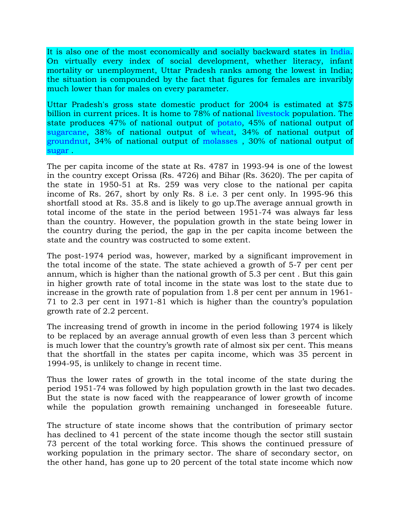It is also one of the most economically and socially backward states in [India](http://en.wikipedia.org/wiki/India). On virtually every index of social development, whether literacy, infant mortality or unemployment, Uttar Pradesh ranks among the lowest in India; the situation is compounded by the fact that figures for females are invaribly much lower than for males on every parameter.

Uttar Pradesh's gross state domestic product for 2004 is estimated at \$75 billion in current prices. It is home to 78% of national [livestock](http://en.wikipedia.org/wiki/Livestock) population. The state produces 47% of national output of [potato](http://en.wikipedia.org/wiki/Potato), 45% of national output of [sugarcane](http://en.wikipedia.org/wiki/Sugarcane), 38% of national output of [wheat](http://en.wikipedia.org/wiki/Wheat), 34% of national output of [groundnut,](http://en.wikipedia.org/wiki/Groundnut) 34% of national output of [molasses](http://en.wikipedia.org/wiki/Molasses) , 30% of national output of [sugar](http://en.wikipedia.org/wiki/Sugar) .

The per capita income of the state at Rs. 4787 in 1993-94 is one of the lowest in the country except Orissa (Rs. 4726) and Bihar (Rs. 3620). The per capita of the state in 1950-51 at Rs. 259 was very close to the national per capita income of Rs. 267, short by only Rs. 8 i.e. 3 per cent only. In 1995-96 this shortfall stood at Rs. 35.8 and is likely to go up.The average annual growth in total income of the state in the period between 1951-74 was always far less than the country. However, the population growth in the state being lower in the country during the period, the gap in the per capita income between the state and the country was costructed to some extent.

The post-1974 period was, however, marked by a significant improvement in the total income of the state. The state achieved a growth of 5-7 per cent per annum, which is higher than the national growth of 5.3 per cent . But this gain in higher growth rate of total income in the state was lost to the state due to increase in the growth rate of population from 1.8 per cent per annum in 1961- 71 to 2.3 per cent in 1971-81 which is higher than the country's population growth rate of 2.2 percent.

The increasing trend of growth in income in the period following 1974 is likely to be replaced by an average annual growth of even less than 3 percent which is much lower that the country's growth rate of almost six per cent. This means that the shortfall in the states per capita income, which was 35 percent in 1994-95, is unlikely to change in recent time.

Thus the lower rates of growth in the total income of the state during the period 1951-74 was followed by high population growth in the last two decades. But the state is now faced with the reappearance of lower growth of income while the population growth remaining unchanged in foreseeable future.

The structure of state income shows that the contribution of primary sector has declined to 41 percent of the state income though the sector still sustain 73 percent of the total working force. This shows the continued pressure of working population in the primary sector. The share of secondary sector, on the other hand, has gone up to 20 percent of the total state income which now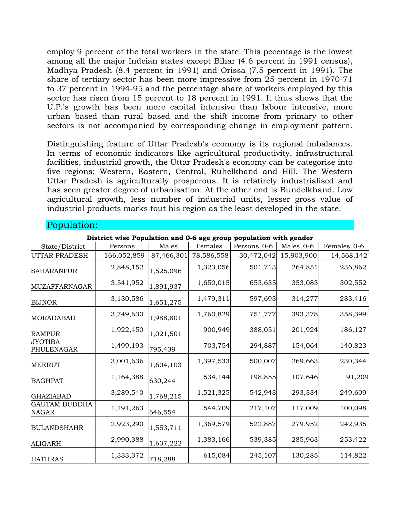employ 9 percent of the total workers in the state. This pecentage is the lowest among all the major Indeian states except Bihar (4.6 percent in 1991 census), Madhya Pradesh (8.4 percent in 1991) and Orissa (7.5 percent in 1991). The share of tertiary sector has been more impressive from 25 percent in 1970-71 to 37 percent in 1994-95 and the percentage share of workers employed by this sector has risen from 15 percent to 18 percent in 1991. It thus shows that the U.P.'s growth has been more capital intensive than labour intensive, more urban based than rural based and the shift income from primary to other sectors is not accompanied by corresponding change in employment pattern.

Distinguishing feature of Uttar Pradesh's economy is its regional imbalances. In terms of economic indicators like agricultural productivity, infrastructural facilities, industrial growth, the Uttar Pradesh's economy can be categorise into five regions; Western, Eastern, Central, Ruhelkhand and Hill. The Western Uttar Pradesh is agriculturally prosperous. It is relatirely industrialised and has seen greater degree of urbanisation. At the other end is Bundelkhand. Low agricultural growth, less number of industrial units, lesser gross value of industrial products marks tout his region as the least developed in the state.

| District wise Population and 0-6 age group population with gender |             |            |            |             |            |             |  |  |  |
|-------------------------------------------------------------------|-------------|------------|------------|-------------|------------|-------------|--|--|--|
| State/District                                                    | Persons     | Males      | Females    | Persons_0-6 | Males_0-6  | Females_0-6 |  |  |  |
| UTTAR PRADESH                                                     | 166,052,859 | 87,466,301 | 78,586,558 | 30,472,042  | 15,903,900 | 14,568,142  |  |  |  |
| <b>SAHARANPUR</b>                                                 | 2,848,152   | 1,525,096  | 1,323,056  | 501,713     | 264,851    | 236,862     |  |  |  |
| MUZAFFARNAGAR                                                     | 3,541,952   | 1,891,937  | 1,650,015  | 655,635     | 353,083    | 302,552     |  |  |  |
| <b>BIJNOR</b>                                                     | 3,130,586   | 1,651,275  | 1,479,311  | 597,693     | 314,277    | 283,416     |  |  |  |
| MORADABAD                                                         | 3,749,630   | 1,988,801  | 1,760,829  | 751,777     | 393,378    | 358,399     |  |  |  |
| <b>RAMPUR</b>                                                     | 1,922,450   | 1,021,501  | 900,949    | 388,051     | 201,924    | 186,127     |  |  |  |
| <b>JYOTIBA</b><br>PHULENAGAR                                      | 1,499,193   | 795,439    | 703,754    | 294,887     | 154,064    | 140,823     |  |  |  |
| <b>MEERUT</b>                                                     | 3,001,636   | 1,604,103  | 1,397,533  | 500,007     | 269,663    | 230,344     |  |  |  |
| <b>BAGHPAT</b>                                                    | 1,164,388   | 630,244    | 534,144    | 198,855     | 107,646    | 91,209      |  |  |  |
| <b>GHAZIABAD</b>                                                  | 3,289,540   | 1,768,215  | 1,521,325  | 542,943     | 293,334    | 249,609     |  |  |  |
| <b>GAUTAM BUDDHA</b><br><b>NAGAR</b>                              | 1,191,263   | 646,554    | 544,709    | 217,107     | 117,009    | 100,098     |  |  |  |
| <b>BULANDSHAHR</b>                                                | 2,923,290   | 1,553,711  | 1,369,579  | 522,887     | 279,952    | 242,935     |  |  |  |
| <b>ALIGARH</b>                                                    | 2,990,388   | 1,607,222  | 1,383,166  | 539,385     | 285,963    | 253,422     |  |  |  |
| <b>HATHRAS</b>                                                    | 1,333,372   | 718,288    | 615,084    | 245,107     | 130,285    | 114,822     |  |  |  |

#### Population: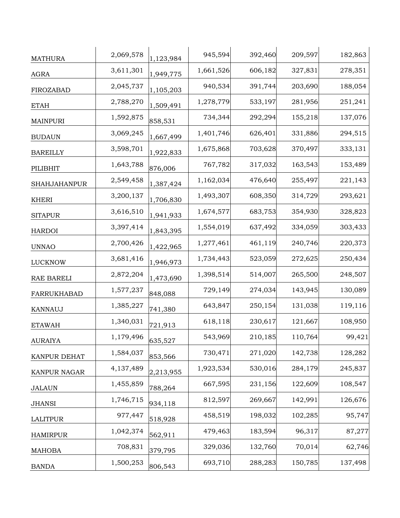| <b>MATHURA</b>      | 2,069,578 | 1,123,984 | 945,594   | 392,460 | 209,597 | 182,863 |
|---------------------|-----------|-----------|-----------|---------|---------|---------|
| AGRA                | 3,611,301 | 1,949,775 | 1,661,526 | 606,182 | 327,831 | 278,351 |
| FIROZABAD           | 2,045,737 | 1,105,203 | 940,534   | 391,744 | 203,690 | 188,054 |
| <b>ETAH</b>         | 2,788,270 | 1,509,491 | 1,278,779 | 533,197 | 281,956 | 251,241 |
| <b>MAINPURI</b>     | 1,592,875 | 858,531   | 734,344   | 292,294 | 155,218 | 137,076 |
| <b>BUDAUN</b>       | 3,069,245 | 1,667,499 | 1,401,746 | 626,401 | 331,886 | 294,515 |
| <b>BAREILLY</b>     | 3,598,701 | 1,922,833 | 1,675,868 | 703,628 | 370,497 | 333,131 |
| PILIBHIT            | 1,643,788 | 876,006   | 767,782   | 317,032 | 163,543 | 153,489 |
| <b>SHAHJAHANPUR</b> | 2,549,458 | 1,387,424 | 1,162,034 | 476,640 | 255,497 | 221,143 |
| <b>KHERI</b>        | 3,200,137 | 1,706,830 | 1,493,307 | 608,350 | 314,729 | 293,621 |
| <b>SITAPUR</b>      | 3,616,510 | 1,941,933 | 1,674,577 | 683,753 | 354,930 | 328,823 |
| <b>HARDOI</b>       | 3,397,414 | 1,843,395 | 1,554,019 | 637,492 | 334,059 | 303,433 |
| <b>UNNAO</b>        | 2,700,426 | 1,422,965 | 1,277,461 | 461,119 | 240,746 | 220,373 |
| <b>LUCKNOW</b>      | 3,681,416 | 1,946,973 | 1,734,443 | 523,059 | 272,625 | 250,434 |
| RAE BARELI          | 2,872,204 | 1,473,690 | 1,398,514 | 514,007 | 265,500 | 248,507 |
| FARRUKHABAD         | 1,577,237 | 848,088   | 729,149   | 274,034 | 143,945 | 130,089 |
| KANNAUJ             | 1,385,227 | 741,380   | 643,847   | 250,154 | 131,038 | 119,116 |
| <b>ETAWAH</b>       | 1,340,031 | 721,913   | 618,118   | 230,617 | 121,667 | 108,950 |
| <b>AURAIYA</b>      | 1,179,496 | 635,527   | 543,969   | 210,185 | 110,764 | 99,421  |
| KANPUR DEHAT        | 1,584,037 | 853,566   | 730,471   | 271,020 | 142,738 | 128,282 |
| KANPUR NAGAR        | 4,137,489 | 2,213,955 | 1,923,534 | 530,016 | 284,179 | 245,837 |
| <b>JALAUN</b>       | 1,455,859 | 788,264   | 667,595   | 231,156 | 122,609 | 108,547 |
| <b>JHANSI</b>       | 1,746,715 | 934,118   | 812,597   | 269,667 | 142,991 | 126,676 |
| <b>LALITPUR</b>     | 977,447   | 518,928   | 458,519   | 198,032 | 102,285 | 95,747  |
| <b>HAMIRPUR</b>     | 1,042,374 | 562,911   | 479,463   | 183,594 | 96,317  | 87,277  |
| <b>MAHOBA</b>       | 708,831   | 379,795   | 329,036   | 132,760 | 70,014  | 62,746  |
| <b>BANDA</b>        | 1,500,253 | 806,543   | 693,710   | 288,283 | 150,785 | 137,498 |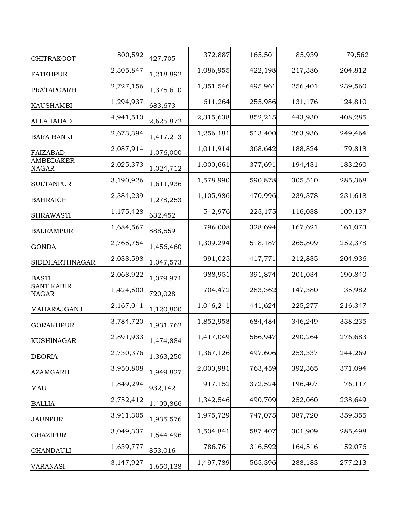| CHITRAKOOT                        | 800,592   | 427,705   | 372,887   | 165,501 | 85,939  | 79,562  |
|-----------------------------------|-----------|-----------|-----------|---------|---------|---------|
| <b>FATEHPUR</b>                   | 2,305,847 | 1,218,892 | 1,086,955 | 422,198 | 217,386 | 204,812 |
| PRATAPGARH                        | 2,727,156 | 1,375,610 | 1,351,546 | 495,961 | 256,401 | 239,560 |
| <b>KAUSHAMBI</b>                  | 1,294,937 | 683,673   | 611,264   | 255,986 | 131,176 | 124,810 |
| <b>ALLAHABAD</b>                  | 4,941,510 | 2,625,872 | 2,315,638 | 852,215 | 443,930 | 408,285 |
| <b>BARA BANKI</b>                 | 2,673,394 | 1,417,213 | 1,256,181 | 513,400 | 263,936 | 249,464 |
| <b>FAIZABAD</b>                   | 2,087,914 | 1,076,000 | 1,011,914 | 368,642 | 188,824 | 179,818 |
| <b>AMBEDAKER</b><br><b>NAGAR</b>  | 2,025,373 | 1,024,712 | 1,000,661 | 377,691 | 194,431 | 183,260 |
| <b>SULTANPUR</b>                  | 3,190,926 | 1,611,936 | 1,578,990 | 590,878 | 305,510 | 285,368 |
| <b>BAHRAICH</b>                   | 2,384,239 | 1,278,253 | 1,105,986 | 470,996 | 239,378 | 231,618 |
| <b>SHRAWASTI</b>                  | 1,175,428 | 632,452   | 542,976   | 225,175 | 116,038 | 109,137 |
| <b>BALRAMPUR</b>                  | 1,684,567 | 888,559   | 796,008   | 328,694 | 167,621 | 161,073 |
| <b>GONDA</b>                      | 2,765,754 | 1,456,460 | 1,309,294 | 518,187 | 265,809 | 252,378 |
| SIDDHARTHNAGAR                    | 2,038,598 | 1,047,573 | 991,025   | 417,771 | 212,835 | 204,936 |
| <b>BASTI</b>                      | 2,068,922 | 1,079,971 | 988,951   | 391,874 | 201,034 | 190,840 |
| <b>SANT KABIR</b><br><b>NAGAR</b> | 1,424,500 | 720,028   | 704,472   | 283,362 | 147,380 | 135,982 |
| MAHARAJGANJ                       | 2,167,041 | 1,120,800 | 1,046,241 | 441,624 | 225,277 | 216,347 |
| <b>GORAKHPUR</b>                  | 3,784,720 | 1,931,762 | 1,852,958 | 684,484 | 346,249 | 338,235 |
| KUSHINAGAR                        | 2,891,933 | 1,474,884 | 1,417,049 | 566,947 | 290,264 | 276,683 |
| <b>DEORIA</b>                     | 2,730,376 | 1,363,250 | 1,367,126 | 497,606 | 253,337 | 244,269 |
| <b>AZAMGARH</b>                   | 3,950,808 | 1,949,827 | 2,000,981 | 763,459 | 392,365 | 371,094 |
| MAU                               | 1,849,294 | 932,142   | 917,152   | 372,524 | 196,407 | 176,117 |
| <b>BALLIA</b>                     | 2,752,412 | 1,409,866 | 1,342,546 | 490,709 | 252,060 | 238,649 |
| <b>JAUNPUR</b>                    | 3,911,305 | 1,935,576 | 1,975,729 | 747,075 | 387,720 | 359,355 |
| <b>GHAZIPUR</b>                   | 3,049,337 | 1,544,496 | 1,504,841 | 587,407 | 301,909 | 285,498 |
| <b>CHANDAULI</b>                  | 1,639,777 | 853,016   | 786,761   | 316,592 | 164,516 | 152,076 |
| <b>VARANASI</b>                   | 3,147,927 | 1,650,138 | 1,497,789 | 565,396 | 288,183 | 277,213 |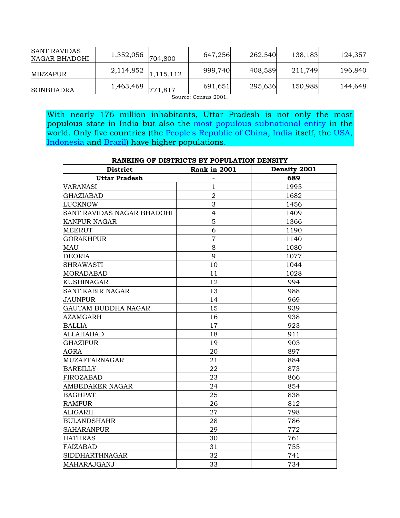| <b>SANT RAVIDAS</b><br>NAGAR BHADOHI | 1,352,056                         | 704,800 | 647,256                                | 262,540 | 138,183 | 124,357 |
|--------------------------------------|-----------------------------------|---------|----------------------------------------|---------|---------|---------|
| MIRZAPUR                             | $2,114,852$ $\big 1,115,112\big $ |         | 999,740                                | 408,589 | 211,749 | 196,840 |
| SONBHADRA                            | 1,463,468                         | 771,817 | 691,651<br>$\sim$ $\sim$ $\sim$ $\sim$ | 295,636 | 150,988 | 144,648 |

Source: Census 2001.

With nearly 176 million inhabitants, Uttar Pradesh is not only the most populous state in India but also the [most populous subnational entity](http://en.wikipedia.org/wiki/List_of_the_most_populous_subnational_entities) in the world. Only five countries (the [People's Republic of China,](http://en.wikipedia.org/wiki/People%27s_Republic_of_China) [India](http://en.wikipedia.org/wiki/India) itself, the [USA](http://en.wikipedia.org/wiki/United_States), [Indonesia](http://en.wikipedia.org/wiki/Indonesia) and [Brazil](http://en.wikipedia.org/wiki/Brazil)) have higher populations.

# **RANKING OF DISTRICTS BY POPULATION DENSITY** District Rank in 2001 Density 2001 **Uttar Pradesh** - **689 VARANASI** 1 1 1995

| $\overline{2}$ | 1682 |
|----------------|------|
| 3              | 1456 |
| $\overline{4}$ | 1409 |
| 5              | 1366 |
| 6              | 1190 |
| $\overline{7}$ | 1140 |
| 8              | 1080 |
| 9              | 1077 |
| 10             | 1044 |
| 11             | 1028 |
| 12             | 994  |
| 13             | 988  |
| 14             | 969  |
| 15             | 939  |
| 16             | 938  |
| 17             | 923  |
| 18             | 911  |
| 19             | 903  |
| 20             | 897  |
| 21             | 884  |
| 22             | 873  |
| 23             | 866  |
| 24             | 854  |
| 25             | 838  |
| 26             | 812  |
| 27             | 798  |
| 28             | 786  |
| 29             | 772  |
| 30             | 761  |
| 31             | 755  |
| 32             | 741  |
| 33             | 734  |
|                |      |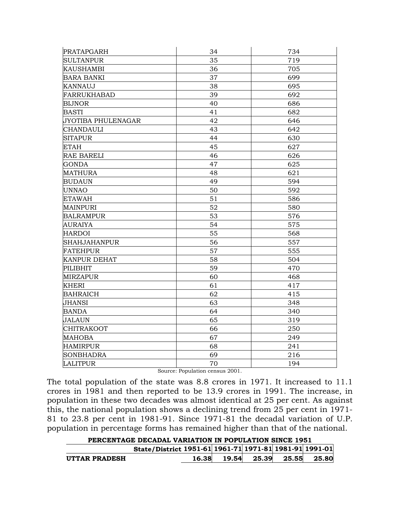| <b>PRATAPGARH</b>   | 34 | 734 |
|---------------------|----|-----|
| <b>SULTANPUR</b>    | 35 | 719 |
| <b>KAUSHAMBI</b>    | 36 | 705 |
| <b>BARA BANKI</b>   | 37 | 699 |
| <b>KANNAUJ</b>      | 38 | 695 |
| FARRUKHABAD         | 39 | 692 |
| <b>BIJNOR</b>       | 40 | 686 |
| <b>BASTI</b>        | 41 | 682 |
| JYOTIBA PHULENAGAR  | 42 | 646 |
| <b>CHANDAULI</b>    | 43 | 642 |
| <b>SITAPUR</b>      | 44 | 630 |
| <b>ETAH</b>         | 45 | 627 |
| <b>RAE BARELI</b>   | 46 | 626 |
| <b>GONDA</b>        | 47 | 625 |
| <b>MATHURA</b>      | 48 | 621 |
| <b>BUDAUN</b>       | 49 | 594 |
| <b>UNNAO</b>        | 50 | 592 |
| <b>ETAWAH</b>       | 51 | 586 |
| <b>MAINPURI</b>     | 52 | 580 |
| <b>BALRAMPUR</b>    | 53 | 576 |
| <b>AURAIYA</b>      | 54 | 575 |
| <b>HARDOI</b>       | 55 | 568 |
| <b>SHAHJAHANPUR</b> | 56 | 557 |
| <b>FATEHPUR</b>     | 57 | 555 |
| <b>KANPUR DEHAT</b> | 58 | 504 |
| PILIBHIT            | 59 | 470 |
| <b>MIRZAPUR</b>     | 60 | 468 |
| <b>KHERI</b>        | 61 | 417 |
| <b>BAHRAICH</b>     | 62 | 415 |
| <b>JHANSI</b>       | 63 | 348 |
| <b>BANDA</b>        | 64 | 340 |
| <b>JALAUN</b>       | 65 | 319 |
| <b>CHITRAKOOT</b>   | 66 | 250 |
| <b>MAHOBA</b>       | 67 | 249 |
| <b>HAMIRPUR</b>     | 68 | 241 |
| <b>SONBHADRA</b>    | 69 | 216 |
| <b>LALITPUR</b>     | 70 | 194 |

Source: Population census 2001.

The total population of the state was 8.8 crores in 1971. It increased to 11.1 crores in 1981 and then reported to be 13.9 crores in 1991. The increase, in population in these two decades was almost identical at 25 per cent. As against this, the national population shows a declining trend from 25 per cent in 1971- 81 to 23.8 per cent in 1981-91. Since 1971-81 the decadal variation of U.P. population in percentage forms has remained higher than that of the national.

| PERCENTAGE DECADAL VARIATION IN POPULATION SINCE 1951 |                                                        |       |       |       |       |  |
|-------------------------------------------------------|--------------------------------------------------------|-------|-------|-------|-------|--|
|                                                       | State/District 1951-61 1961-71 1971-81 1981-91 1991-01 |       |       |       |       |  |
| <b>UTTAR PRADESH</b>                                  | 16.38                                                  | 19.54 | 25.39 | 25.55 | 25.80 |  |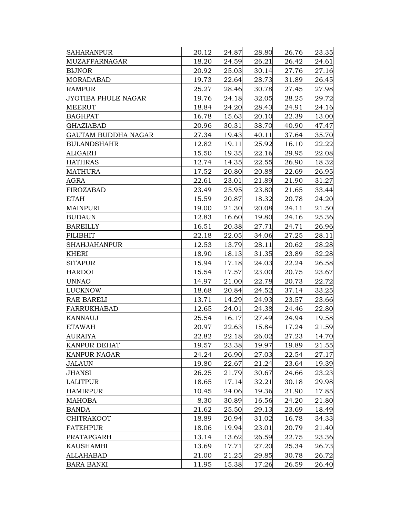| SAHARANPUR          | 20.12 | 24.87 | 28.80 | 26.76 | 23.35 |
|---------------------|-------|-------|-------|-------|-------|
| MUZAFFARNAGAR       | 18.20 | 24.59 | 26.21 | 26.42 | 24.61 |
| <b>BIJNOR</b>       | 20.92 | 25.03 | 30.14 | 27.76 | 27.16 |
| MORADABAD           | 19.73 | 22.64 | 28.73 | 31.89 | 26.45 |
| <b>RAMPUR</b>       | 25.27 | 28.46 | 30.78 | 27.45 | 27.98 |
| JYOTIBA PHULE NAGAR | 19.76 | 24.18 | 32.05 | 28.25 | 29.72 |
| <b>MEERUT</b>       | 18.84 | 24.20 | 28.43 | 24.91 | 24.16 |
| <b>BAGHPAT</b>      | 16.78 | 15.63 | 20.10 | 22.39 | 13.00 |
| <b>GHAZIABAD</b>    | 20.96 | 30.31 | 38.70 | 40.90 | 47.47 |
| GAUTAM BUDDHA NAGAR | 27.34 | 19.43 | 40.11 | 37.64 | 35.70 |
| <b>BULANDSHAHR</b>  | 12.82 | 19.11 | 25.92 | 16.10 | 22.22 |
| ALIGARH             | 15.50 | 19.35 | 22.16 | 29.95 | 22.08 |
| <b>HATHRAS</b>      | 12.74 | 14.35 | 22.55 | 26.90 | 18.32 |
| <b>MATHURA</b>      | 17.52 | 20.80 | 20.88 | 22.69 | 26.95 |
| AGRA                | 22.61 | 23.01 | 21.89 | 21.90 | 31.27 |
| FIROZABAD           | 23.49 | 25.95 | 23.80 | 21.65 | 33.44 |
| <b>ETAH</b>         | 15.59 | 20.87 | 18.32 | 20.78 | 24.20 |
| <b>MAINPURI</b>     | 19.00 | 21.30 | 20.08 | 24.11 | 21.50 |
| <b>BUDAUN</b>       | 12.83 | 16.60 | 19.80 | 24.16 | 25.36 |
| <b>BAREILLY</b>     | 16.51 | 20.38 | 27.71 | 24.71 | 26.96 |
| PILIBHIT            | 22.18 | 22.05 | 34.06 | 27.25 | 28.11 |
| <b>SHAHJAHANPUR</b> | 12.53 | 13.79 | 28.11 | 20.62 | 28.28 |
| <b>KHERI</b>        | 18.90 | 18.13 | 31.35 | 23.89 | 32.28 |
| <b>SITAPUR</b>      | 15.94 | 17.18 | 24.03 | 22.24 | 26.58 |
| <b>HARDOI</b>       | 15.54 | 17.57 | 23.00 | 20.75 | 23.67 |
| <b>UNNAO</b>        | 14.97 | 21.00 | 22.78 | 20.73 | 22.72 |
| <b>LUCKNOW</b>      | 18.68 | 20.84 | 24.52 | 37.14 | 33.25 |
| RAE BARELI          | 13.71 | 14.29 | 24.93 | 23.57 | 23.66 |
| FARRUKHABAD         | 12.65 | 24.01 | 24.38 | 24.46 | 22.80 |
| <b>KANNAUJ</b>      | 25.54 | 16.17 | 27.49 | 24.94 | 19.58 |
| <b>ETAWAH</b>       | 20.97 | 22.63 | 15.84 | 17.24 | 21.59 |
| <b>AURAIYA</b>      | 22.82 | 22.18 | 26.02 | 27.23 | 14.70 |
| <b>KANPUR DEHAT</b> | 19.57 | 23.38 | 19.97 | 19.89 | 21.55 |
| KANPUR NAGAR        | 24.24 | 26.90 | 27.03 | 22.54 | 27.17 |
| <b>JALAUN</b>       | 19.80 | 22.67 | 21.24 | 23.64 | 19.39 |
| <b>JHANSI</b>       | 26.25 | 21.79 | 30.67 | 24.66 | 23.23 |
| <b>LALITPUR</b>     | 18.65 | 17.14 | 32.21 | 30.18 | 29.98 |
| <b>HAMIRPUR</b>     | 10.45 | 24.06 | 19.36 | 21.90 | 17.85 |
| <b>MAHOBA</b>       | 8.30  | 30.89 | 16.56 | 24.20 | 21.80 |
| <b>BANDA</b>        | 21.62 | 25.50 | 29.13 | 23.69 | 18.49 |
| <b>CHITRAKOOT</b>   | 18.89 | 20.94 | 31.02 | 16.78 | 34.33 |
| <b>FATEHPUR</b>     | 18.06 | 19.94 | 23.01 | 20.79 | 21.40 |
| PRATAPGARH          | 13.14 | 13.62 | 26.59 | 22.75 | 23.36 |
| KAUSHAMBI           | 13.69 | 17.71 | 27.20 | 25.34 | 26.73 |
| <b>ALLAHABAD</b>    | 21.00 | 21.25 | 29.85 | 30.78 | 26.72 |
| <b>BARA BANKI</b>   | 11.95 | 15.38 | 17.26 | 26.59 | 26.40 |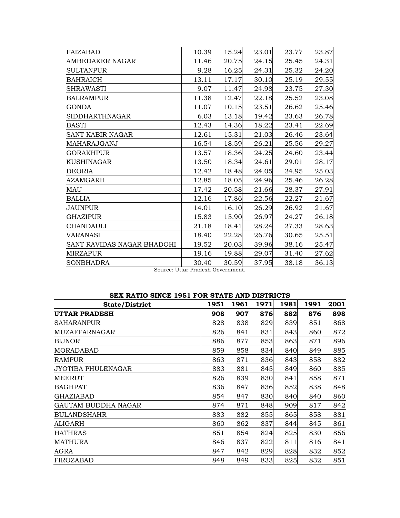| FAIZABAD                   | 10.39 | 15.24 | 23.01 | 23.77 | 23.87 |
|----------------------------|-------|-------|-------|-------|-------|
| AMBEDAKER NAGAR            | 11.46 | 20.75 | 24.15 | 25.45 | 24.31 |
| <b>SULTANPUR</b>           | 9.28  | 16.25 | 24.31 | 25.32 | 24.20 |
| <b>BAHRAICH</b>            | 13.11 | 17.17 | 30.10 | 25.19 | 29.55 |
| <b>SHRAWASTI</b>           | 9.07  | 11.47 | 24.98 | 23.75 | 27.30 |
| <b>BALRAMPUR</b>           | 11.38 | 12.47 | 22.18 | 25.52 | 23.08 |
| <b>GONDA</b>               | 11.07 | 10.15 | 23.51 | 26.62 | 25.46 |
| <b>SIDDHARTHNAGAR</b>      | 6.03  | 13.18 | 19.42 | 23.63 | 26.78 |
| <b>BASTI</b>               | 12.43 | 14.36 | 18.22 | 23.41 | 22.69 |
| <b>SANT KABIR NAGAR</b>    | 12.61 | 15.31 | 21.03 | 26.46 | 23.64 |
| MAHARAJGANJ                | 16.54 | 18.59 | 26.21 | 25.56 | 29.27 |
| <b>GORAKHPUR</b>           | 13.57 | 18.36 | 24.25 | 24.60 | 23.44 |
| <b>KUSHINAGAR</b>          | 13.50 | 18.34 | 24.61 | 29.01 | 28.17 |
| <b>DEORIA</b>              | 12.42 | 18.48 | 24.05 | 24.95 | 25.03 |
| <b>AZAMGARH</b>            | 12.85 | 18.05 | 24.96 | 25.46 | 26.28 |
| MAU                        | 17.42 | 20.58 | 21.66 | 28.37 | 27.91 |
| <b>BALLIA</b>              | 12.16 | 17.86 | 22.56 | 22.27 | 21.67 |
| JAUNPUR                    | 14.01 | 16.10 | 26.29 | 26.92 | 21.67 |
| <b>GHAZIPUR</b>            | 15.83 | 15.90 | 26.97 | 24.27 | 26.18 |
| <b>CHANDAULI</b>           | 21.18 | 18.41 | 28.24 | 27.33 | 28.63 |
| <b>VARANASI</b>            | 18.40 | 22.28 | 26.76 | 30.65 | 25.51 |
| SANT RAVIDAS NAGAR BHADOHI | 19.52 | 20.03 | 39.96 | 38.16 | 25.47 |
| <b>MIRZAPUR</b>            | 19.16 | 19.88 | 29.07 | 31.40 | 27.62 |
| <b>SONBHADRA</b>           | 30.40 | 30.59 | 37.95 | 38.18 | 36.13 |

Source: Uttar Pradesh Government.

| SEX RATIO SINCE 1951 FOR STATE AND DISTRICTS |  |  |  |  |  |  |
|----------------------------------------------|--|--|--|--|--|--|
|----------------------------------------------|--|--|--|--|--|--|

| <b>State/District</b> | 1951 | 1961 | 1971 | 1981 | 1991 | 2001 |
|-----------------------|------|------|------|------|------|------|
| <b>UTTAR PRADESH</b>  | 908  | 907  | 876  | 882  | 876  | 898  |
| <b>SAHARANPUR</b>     | 828  | 838  | 829  | 839  | 851  | 868  |
| <b>MUZAFFARNAGAR</b>  | 826  | 841  | 831  | 843  | 860  | 872  |
| <b>BIJNOR</b>         | 886  | 877  | 853  | 863  | 871  | 896  |
| MORADABAD             | 859  | 858  | 834  | 840  | 849  | 885  |
| <b>RAMPUR</b>         | 863  | 871  | 836  | 843  | 858  | 882  |
| JYOTIBA PHULENAGAR    | 883  | 881  | 845  | 849  | 860  | 885  |
| <b>MEERUT</b>         | 826  | 839  | 830  | 841  | 858  | 871  |
| <b>BAGHPAT</b>        | 836  | 847  | 836  | 852  | 838  | 848  |
| <b>GHAZIABAD</b>      | 854  | 847  | 830  | 840  | 840  | 860  |
| GAUTAM BUDDHA NAGAR   | 874  | 871  | 848  | 909  | 817  | 842  |
| <b>BULANDSHAHR</b>    | 883  | 882  | 855  | 865  | 858  | 881  |
| ALIGARH               | 860  | 862  | 837  | 844  | 845  | 861  |
| <b>HATHRAS</b>        | 851  | 854  | 824  | 825  | 830  | 856  |
| <b>MATHURA</b>        | 846  | 837  | 822  | 811  | 816  | 841  |
| AGRA                  | 847  | 842  | 829  | 828  | 832  | 852  |
| FIROZABAD             | 848  | 849  | 833  | 825  | 832  | 851  |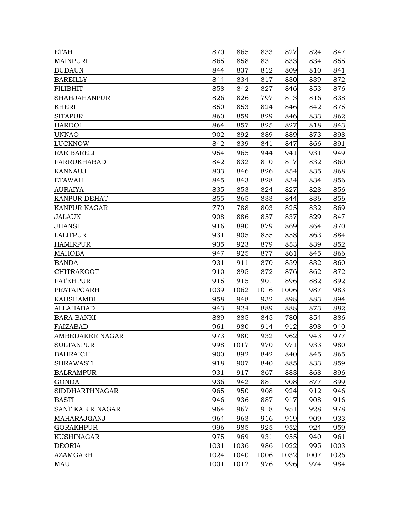| <b>ETAH</b>            | 870  | 865  | 833  | 827  | 824  | 847  |
|------------------------|------|------|------|------|------|------|
| <b>MAINPURI</b>        | 865  | 858  | 831  | 833  | 834  | 855  |
| <b>BUDAUN</b>          | 844  | 837  | 812  | 809  | 810  | 841  |
| <b>BAREILLY</b>        | 844  | 834  | 817  | 830  | 839  | 872  |
| PILIBHIT               | 858  | 842  | 827  | 846  | 853  | 876  |
| <b>SHAHJAHANPUR</b>    | 826  | 826  | 797  | 813  | 816  | 838  |
| KHERI                  | 850  | 853  | 824  | 846  | 842  | 875  |
| <b>SITAPUR</b>         | 860  | 859  | 829  | 846  | 833  | 862  |
| <b>HARDOI</b>          | 864  | 857  | 825  | 827  | 818  | 843  |
| <b>UNNAO</b>           | 902  | 892  | 889  | 889  | 873  | 898  |
| <b>LUCKNOW</b>         | 842  | 839  | 841  | 847  | 866  | 891  |
| <b>RAE BARELI</b>      | 954  | 965  | 944  | 941  | 931  | 949  |
| FARRUKHABAD            | 842  | 832  | 810  | 817  | 832  | 860  |
| KANNAUJ                | 833  | 846  | 826  | 854  | 835  | 868  |
| <b>ETAWAH</b>          | 845  | 843  | 828  | 834  | 834  | 856  |
| AURAIYA                | 835  | 853  | 824  | 827  | 828  | 856  |
| <b>KANPUR DEHAT</b>    | 855  | 865  | 833  | 844  | 836  | 856  |
| <b>KANPUR NAGAR</b>    | 770  | 788  | 803  | 825  | 832  | 869  |
| <b>JALAUN</b>          | 908  | 886  | 857  | 837  | 829  | 847  |
| <b>JHANSI</b>          | 916  | 890  | 879  | 869  | 864  | 870  |
| LALITPUR               | 931  | 905  | 855  | 858  | 863  | 884  |
| <b>HAMIRPUR</b>        | 935  | 923  | 879  | 853  | 839  | 852  |
| <b>MAHOBA</b>          | 947  | 925  | 877  | 861  | 845  | 866  |
| <b>BANDA</b>           | 931  | 911  | 870  | 859  | 832  | 860  |
| CHITRAKOOT             | 910  | 895  | 872  | 876  | 862  | 872  |
| <b>FATEHPUR</b>        | 915  | 915  | 901  | 896  | 882  | 892  |
| PRATAPGARH             | 1039 | 1062 | 1016 | 1006 | 987  | 983  |
| KAUSHAMBI              | 958  | 948  | 932  | 898  | 883  | 894  |
| <b>ALLAHABAD</b>       | 943  | 924  | 889  | 888  | 873  | 882  |
| <b>BARA BANKI</b>      | 889  | 885  | 845  | 780  | 854  | 886  |
| FAIZABAD               | 961  | 980  | 914  | 912  | 898  | 940  |
| <b>AMBEDAKER NAGAR</b> | 973  | 980  | 932  | 962  | 943  | 977  |
| <b>SULTANPUR</b>       | 998  | 1017 | 970  | 971  | 933  | 980  |
| <b>BAHRAICH</b>        | 900  | 892  | 842  | 840  | 845  | 865  |
| <b>SHRAWASTI</b>       | 918  | 907  | 840  | 885  | 833  | 859  |
| <b>BALRAMPUR</b>       | 931  | 917  | 867  | 883  | 868  | 896  |
| <b>GONDA</b>           | 936  | 942  | 881  | 908  | 877  | 899  |
| <b>SIDDHARTHNAGAR</b>  | 965  | 950  | 908  | 924  | 912  | 946  |
| <b>BASTI</b>           | 946  | 936  | 887  | 917  | 908  | 916  |
| SANT KABIR NAGAR       | 964  | 967  | 918  | 951  | 928  | 978  |
| MAHARAJGANJ            | 964  | 963  | 916  | 919  | 909  | 933  |
| <b>GORAKHPUR</b>       | 996  | 985  | 925  | 952  | 924  | 959  |
| <b>KUSHINAGAR</b>      | 975  | 969  | 931  | 955  | 940  | 961  |
| <b>DEORIA</b>          | 1031 | 1036 | 986  | 1022 | 995  | 1003 |
| <b>AZAMGARH</b>        | 1024 | 1040 | 1006 | 1032 | 1007 | 1026 |
| MAU                    | 1001 | 1012 | 976  | 996  | 974  | 984  |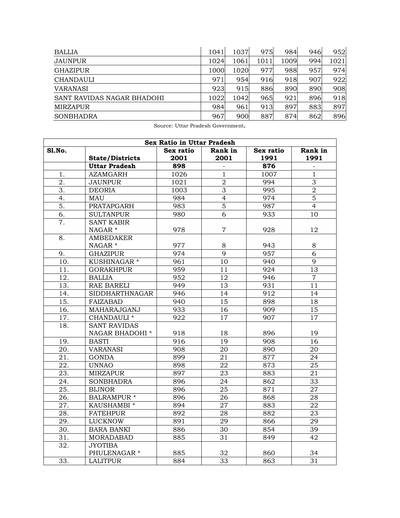| <b>BALLIA</b>              | 1041 | 1037 | 975  | 984  | 946 | 952  |
|----------------------------|------|------|------|------|-----|------|
| <b>JAUNPUR</b>             | 1024 | 1061 | 1011 | 1009 | 994 | 1021 |
| <b>GHAZIPUR</b>            | 1000 | 1020 | 977  | 988  | 957 | 974  |
| <b>CHANDAULI</b>           | 971  | 954  | 916  | 918  | 907 | 922  |
| <b>VARANASI</b>            | 923  | 915  | 886  | 890  | 890 | 908  |
| SANT RAVIDAS NAGAR BHADOHI | 1022 | 1042 | 965  | 921  | 896 | 918  |
| <b>MIRZAPUR</b>            | 984  | 961  | 913  | 897  | 883 | 897  |
| <b>SONBHADRA</b>           | 967  | 900  | 887  | 874  | 862 | 896  |

Source: Uttar Pradesh Government.

| <b>Sex Ratio in Uttar Pradesh</b> |                         |           |                 |           |                 |  |  |  |
|-----------------------------------|-------------------------|-----------|-----------------|-----------|-----------------|--|--|--|
| Sl.No.                            |                         | Sex ratio | Rank in         | Sex ratio | Rank in         |  |  |  |
|                                   | <b>State/Districts</b>  | 2001      | 2001            | 1991      | 1991            |  |  |  |
|                                   | <b>Uttar Pradesh</b>    | 898       |                 | 876       |                 |  |  |  |
| 1.                                | <b>AZAMGARH</b>         | 1026      | $\mathbf{1}$    | 1007      | $\mathbf{1}$    |  |  |  |
| $\overline{2}$ .                  | <b>JAUNPUR</b>          | 1021      | $\overline{2}$  | 994       | $\overline{3}$  |  |  |  |
| 3.                                | <b>DEORIA</b>           | 1003      | 3               | 995       | $\overline{2}$  |  |  |  |
| 4.                                | MAU                     | 984       | $\overline{4}$  | 974       | $\overline{5}$  |  |  |  |
| 5.                                | PRATAPGARH              | 983       | $\overline{5}$  | 987       | $\overline{4}$  |  |  |  |
| 6.                                | <b>SULTANPUR</b>        | 980       | 6               | 933       | 10              |  |  |  |
| 7.                                | <b>SANT KABIR</b>       |           |                 |           |                 |  |  |  |
|                                   | NAGAR <sup>*</sup>      | 978       | $\overline{7}$  | 928       | 12              |  |  |  |
| 8.                                | <b>AMBEDAKER</b>        |           |                 |           |                 |  |  |  |
|                                   | NAGAR *                 | 977       | 8               | 943       | 8               |  |  |  |
| 9.                                | <b>GHAZIPUR</b>         | 974       | $\overline{9}$  | 957       | $\overline{6}$  |  |  |  |
| 10.                               | KUSHINAGAR <sup>*</sup> | 961       | 10              | 940       | 9               |  |  |  |
| 11.                               | <b>GORAKHPUR</b>        | 959       | 11              | 924       | 13              |  |  |  |
| 12.                               | <b>BALLIA</b>           | 952       | 12              | 946       | $\overline{7}$  |  |  |  |
| 13.                               | RAE BARELI              | 949       | 13              | 931       | 11              |  |  |  |
| 14.                               | <b>SIDDHARTHNAGAR</b>   | 946       | 14              | 912       | 14              |  |  |  |
| 15.                               | FAIZABAD                | 940       | 15              | 898       | 18              |  |  |  |
| 16.                               | MAHARAJGANJ             | 933       | 16              | 909       | 15              |  |  |  |
| 17.                               | CHANDAULI <sup>*</sup>  | 922       | $\overline{17}$ | 907       | $\overline{17}$ |  |  |  |
| 18.                               | <b>SANT RAVIDAS</b>     |           |                 |           |                 |  |  |  |
|                                   | NAGAR BHADOHI *         | 918       | 18              | 896       | 19              |  |  |  |
| 19.                               | <b>BASTI</b>            | 916       | 19              | 908       | 16              |  |  |  |
| 20.                               | <b>VARANASI</b>         | 908       | 20              | 890       | 20              |  |  |  |
| 21.                               | <b>GONDA</b>            | 899       | 21              | 877       | 24              |  |  |  |
| 22.                               | <b>UNNAO</b>            | 898       | 22              | 873       | 25              |  |  |  |
| 23.                               | <b>MIRZAPUR</b>         | 897       | 23              | 883       | 21              |  |  |  |
| 24.                               | <b>SONBHADRA</b>        | 896       | 24              | 862       | 33              |  |  |  |
| 25.                               | <b>BIJNOR</b>           | 896       | 25              | 871       | 27              |  |  |  |
| 26.                               | BALRAMPUR *             | 896       | 26              | 868       | 28              |  |  |  |
| 27.                               | KAUSHAMBI *             | 894       | $\overline{27}$ | 883       | $\overline{22}$ |  |  |  |
| 28.                               | <b>FATEHPUR</b>         | 892       | 28              | 882       | 23              |  |  |  |
| 29.                               | LUCKNOW                 | 891       | 29              | 866       | 29              |  |  |  |
| 30.                               | <b>BARA BANKI</b>       | 886       | 30              | 854       | $\overline{39}$ |  |  |  |
| 31.                               | <b>MORADABAD</b>        | 885       | 31              | 849       | 42              |  |  |  |
| 32.                               | <b>JYOTIBA</b>          |           |                 |           |                 |  |  |  |
|                                   | PHULENAGAR <sup>*</sup> | 885       | 32              | 860       | 34              |  |  |  |
| 33.                               | <b>LALITPUR</b>         | 884       | 33              | 863       | $\overline{31}$ |  |  |  |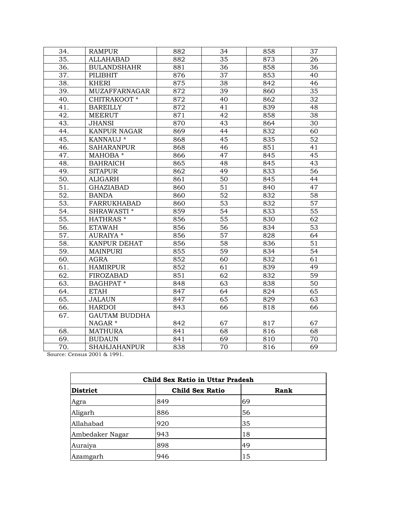| 34.               | <b>RAMPUR</b>        | 882              | 34              | 858 | 37              |
|-------------------|----------------------|------------------|-----------------|-----|-----------------|
| 35.               | <b>ALLAHABAD</b>     | 882              | 35              | 873 | 26              |
| 36.               | <b>BULANDSHAHR</b>   | 881              | 36              | 858 | 36              |
| 37.               | <b>PILIBHIT</b>      | 876              | $\overline{37}$ | 853 | 40              |
| 38.               | <b>KHERI</b>         | 875              | 38              | 842 | 46              |
| 39.               | <b>MUZAFFARNAGAR</b> | $\overline{872}$ | 39              | 860 | $\overline{35}$ |
| 40.               | CHITRAKOOT *         | 872              | 40              | 862 | 32              |
| 41.               | <b>BAREILLY</b>      | 872              | 41              | 839 | 48              |
| 42.               | <b>MEERUT</b>        | 871              | 42              | 858 | 38              |
| 43.               | <b>JHANSI</b>        | 870              | 43              | 864 | 30              |
| 44.               | <b>KANPUR NAGAR</b>  | $\overline{869}$ | 44              | 832 | 60              |
| 45.               | KANNAUJ *            | 868              | $\overline{45}$ | 835 | 52              |
| 46.               | <b>SAHARANPUR</b>    | 868              | 46              | 851 | 41              |
| 47.               | MAHOBA *             | 866              | 47              | 845 | 45              |
| 48.               | <b>BAHRAICH</b>      | 865              | 48              | 845 | 43              |
| 49.               | <b>SITAPUR</b>       | 862              | 49              | 833 | 56              |
| 50.               | <b>ALIGARH</b>       | 861              | 50              | 845 | 44              |
| 51.               | <b>GHAZIABAD</b>     | 860              | 51              | 840 | 47              |
| 52.               | <b>BANDA</b>         | 860              | 52              | 832 | 58              |
| $\overline{53}$ . | <b>FARRUKHABAD</b>   | 860              | $\overline{53}$ | 832 | $\overline{57}$ |
| 54.               | SHRAWASTI *          | 859              | 54              | 833 | $\overline{55}$ |
| 55.               | HATHRAS *            | 856              | 55              | 830 | 62              |
| 56.               | <b>ETAWAH</b>        | 856              | $\overline{56}$ | 834 | $\overline{53}$ |
| 57.               | AURAIYA *            | 856              | 57              | 828 | 64              |
| $\overline{58}$ . | KANPUR DEHAT         | 856              | $\overline{58}$ | 836 | $\overline{51}$ |
| 59.               | <b>MAINPURI</b>      | 855              | 59              | 834 | 54              |
| 60.               | <b>AGRA</b>          | 852              | 60              | 832 | 61              |
| 61.               | <b>HAMIRPUR</b>      | 852              | 61              | 839 | 49              |
| $\overline{62}$ . | <b>FIROZABAD</b>     | 851              | $\overline{62}$ | 832 | $\overline{59}$ |
| 63.               | <b>BAGHPAT</b> *     | 848              | 63              | 838 | 50              |
| 64.               | <b>ETAH</b>          | 847              | 64              | 824 | 65              |
| $\overline{65}$ . | <b>JALAUN</b>        | 847              | 65              | 829 | 63              |
| 66.               | <b>HARDOI</b>        | 843              | 66              | 818 | 66              |
| 67.               | <b>GAUTAM BUDDHA</b> |                  |                 |     |                 |
|                   | NAGAR <sup>*</sup>   | 842              | 67              | 817 | 67              |
| 68.               | <b>MATHURA</b>       | 841              | 68              | 816 | 68              |
| 69.               | <b>BUDAUN</b>        | 841              | 69              | 810 | 70              |
| 70.               | <b>SHAHJAHANPUR</b>  | 838              | 70              | 816 | 69              |

Source: Census 2001 & 1991.

| <b>District</b> | <b>Child Sex Ratio</b> | <b>Rank</b> |
|-----------------|------------------------|-------------|
| Agra            | 849                    | 69          |
| Aligarh         | 886                    | 56          |
| Allahabad       | 920                    | 35          |
| Ambedaker Nagar | 943                    | 18          |
| Auraiya         | 898                    | 49          |
| Azamgarh        | 946                    | 15          |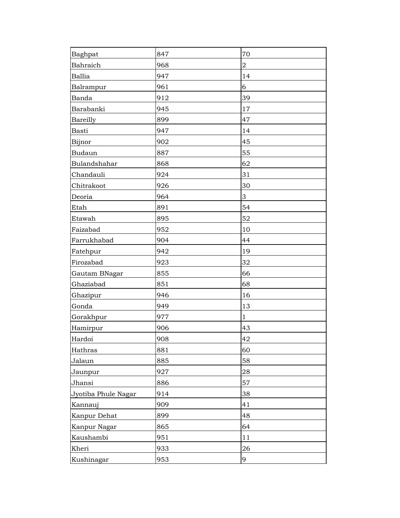| Baghpat             | 847 | 70             |
|---------------------|-----|----------------|
| Bahraich            | 968 | $\overline{2}$ |
| <b>Ballia</b>       | 947 | 14             |
| Balrampur           | 961 | 6              |
| Banda               | 912 | 39             |
| Barabanki           | 945 | 17             |
| Bareilly            | 899 | 47             |
| <b>Basti</b>        | 947 | 14             |
| Bijnor              | 902 | 45             |
| <b>Budaun</b>       | 887 | 55             |
| Bulandshahar        | 868 | 62             |
| Chandauli           | 924 | 31             |
| Chitrakoot          | 926 | 30             |
| Deoria              | 964 | 3              |
| Etah                | 891 | 54             |
| Etawah              | 895 | 52             |
| Faizabad            | 952 | $10\,$         |
| Farrukhabad         | 904 | 44             |
| Fatehpur            | 942 | 19             |
| Firozabad           | 923 | 32             |
| Gautam BNagar       | 855 | 66             |
| Ghaziabad           | 851 | 68             |
| Ghazipur            | 946 | 16             |
| Gonda               | 949 | 13             |
| Gorakhpur           | 977 | $\mathbf{1}$   |
| Hamirpur            | 906 | 43             |
| Hardoi              | 908 | 42             |
| Hathras             | 881 | 60             |
| Jalaun              | 885 | 58             |
| Jaunpur             | 927 | 28             |
| Jhansi              | 886 | 57             |
| Jyotiba Phule Nagar | 914 | 38             |
| Kannauj             | 909 | 41             |
| Kanpur Dehat        | 899 | 48             |
| Kanpur Nagar        | 865 | 64             |
| Kaushambi           | 951 | 11             |
| Kheri               | 933 | 26             |
| Kushinagar          | 953 | 9              |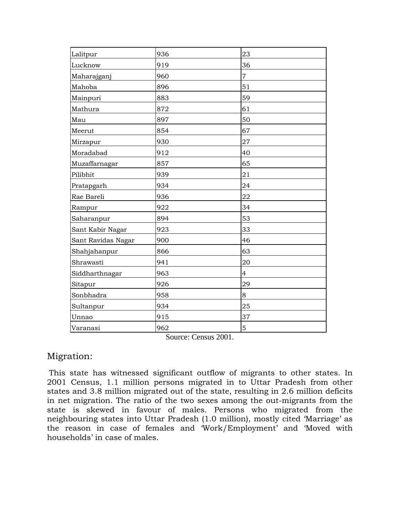| Lalitpur           | 936 | 23             |
|--------------------|-----|----------------|
| Lucknow            | 919 | 36             |
| Maharajganj        | 960 | $\overline{7}$ |
| Mahoba             | 896 | 51             |
| Mainpuri           | 883 | 59             |
| Mathura            | 872 | 61             |
| Mau                | 897 | 50             |
| Meerut             | 854 | 67             |
| Mirzapur           | 930 | 27             |
| Moradabad          | 912 | 40             |
| Muzaffarnagar      | 857 | 65             |
| Pilibhit           | 939 | 21             |
| Pratapgarh         | 934 | 24             |
| Rae Bareli         | 936 | 22             |
| Rampur             | 922 | 34             |
| Saharanpur         | 894 | 53             |
| Sant Kabir Nagar   | 923 | 33             |
| Sant Ravidas Nagar | 900 | 46             |
| Shahjahanpur       | 866 | 63             |
| Shrawasti          | 941 | 20             |
| Siddharthnagar     | 963 | $\overline{4}$ |
| Sitapur            | 926 | 29             |
| Sonbhadra          | 958 | 8              |
| Sultanpur          | 934 | 25             |
| Unnao              | 915 | 37             |
| Varanasi           | 962 | 5              |
|                    |     |                |

Source: Census 2001.

#### Migration:

This state has witnessed significant outflow of migrants to other states. In 2001 Census, 1.1 million persons migrated in to Uttar Pradesh from other states and 3.8 million migrated out of the state, resulting in 2.6 million deficits in net migration. The ratio of the two sexes among the out-migrants from the state is skewed in favour of males. Persons who migrated from the neighbouring states into Uttar Pradesh (1.0 million), mostly cited 'Marriage' as the reason in case of females and 'Work/Employment' and 'Moved with households' in case of males.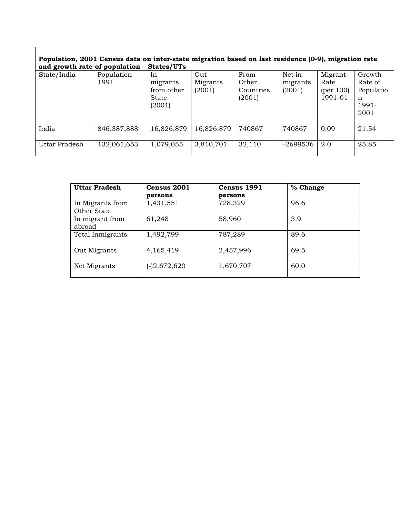| Population, 2001 Census data on inter-state migration based on last residence (0-9), migration rate |
|-----------------------------------------------------------------------------------------------------|
| and growth rate of population - States/UTs                                                          |

| ---           |                    |                                                 |                           |                                      |                              |                                                 |                                                      |
|---------------|--------------------|-------------------------------------------------|---------------------------|--------------------------------------|------------------------------|-------------------------------------------------|------------------------------------------------------|
| State/India   | Population<br>1991 | In<br>migrants<br>from other<br>State<br>(2001) | Out<br>Migrants<br>(2001) | From<br>Other<br>Countries<br>(2001) | Net in<br>migrants<br>(2001) | Migrant<br>Rate<br>${\rm (per~100)}$<br>1991-01 | Growth<br>Rate of<br>Populatio<br>n<br>1991-<br>2001 |
| India         | 846,387,888        | 16,826,879                                      | 16,826,879                | 740867                               | 740867                       | 0.09                                            | 21.54                                                |
| Uttar Pradesh | 132,061,653        | 1,079,055                                       | 3,810,701                 | 32,110                               | -2699536                     | 2.0                                             | 25.85                                                |

| <b>Uttar Pradesh</b> | Census 2001  | Census 1991 | % Change |
|----------------------|--------------|-------------|----------|
|                      | persons      | persons     |          |
| In Migrants from     | 1,431,551    | 728,329     | 96.6     |
| Other State          |              |             |          |
| In migrant from      | 61,248       | 58,960      | 3.9      |
| abroad               |              |             |          |
| Total Inmigrants     | 1,492,799    | 787,289     | 89.6     |
|                      |              |             |          |
| Out Migrants         | 4,165,419    | 2,457,996   | 69.5     |
|                      |              |             |          |
| Net Migrants         | (-)2,672,620 | 1,670,707   | 60.0     |
|                      |              |             |          |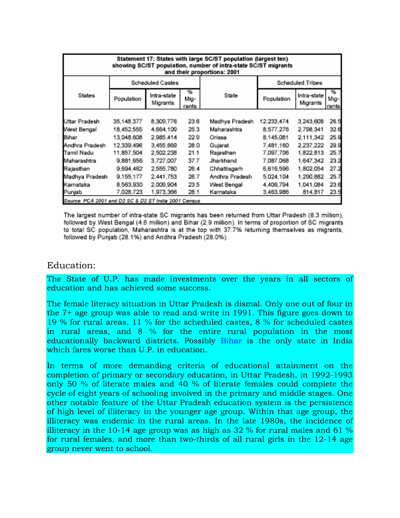| Statement 17: States with large SC/ST population (largest ten)<br>showing SC/ST population, number of intra-state SC/ST migrants<br>and their proportions: 2001 |                  |                         |                    |                |                  |                         |                     |  |  |
|-----------------------------------------------------------------------------------------------------------------------------------------------------------------|------------------|-------------------------|--------------------|----------------|------------------|-------------------------|---------------------|--|--|
|                                                                                                                                                                 | Scheduled Castes |                         |                    |                | Scheduled Tribes |                         |                     |  |  |
| <b>States</b>                                                                                                                                                   | Population       | Intra-state<br>Migrants | %<br>Mig-<br>rants | State          | Population       | Intra-state<br>Migrants | 96<br>Mig-<br>rants |  |  |
|                                                                                                                                                                 |                  |                         |                    |                |                  |                         |                     |  |  |
| Uttar Pradesh                                                                                                                                                   | 35,148,377       | 8,309,776               | 23.6               | Madhya Pradesh | 12.233.474       | 3,243,608               | 26.5                |  |  |
| West Bengal                                                                                                                                                     | 18.452.555       | 4,664,109               | 25.3               | Maharashtra    | 8,577,276        | 2.798.341               | 32.6                |  |  |
| Bihar                                                                                                                                                           | 13,048,608       | 2.985.414               | 22.9               | Orissa         | 8.145.081        | 2,111,342               | 25.9                |  |  |
| Andhra Pradesh                                                                                                                                                  | 12.339.496       | 3.455.669               | 28.0               | Gujarat        | 7.481.160        | 2.237.222               | 29.9                |  |  |
| Tamil Nadu                                                                                                                                                      | 11,857,504       | 2,502,238               | 21.1               | Rajasthan      | 7,097,706        | 1,822,813               | 25.7                |  |  |
| Maharashtra                                                                                                                                                     | 9,881,656        | 3,727,007               | 37.7               | Jharkhand      | 7,087,068        | 1,647,342               | 23.2                |  |  |
| Rajasthan                                                                                                                                                       | 9,694,462        | 2,555,780               | 26.4               | Chhattisgarh   | 6,616,596        | 1,802,054               | 27.2                |  |  |
| Madhya Pradesh                                                                                                                                                  | 9,155,177        | 2,441,753               | 26.7               | Andhra Pradesh | 5.024.104        | 1,290,882               | 25.7                |  |  |
| Karnataka                                                                                                                                                       | 8,563,930        | 2.009.904               | 23.5               | West Bengal    | 4.406.794        | 1.041.084               | 23.6                |  |  |
| Punjab                                                                                                                                                          | 7,028,723        | 1.973.366               | 28.1               | Karnataka      | 3.463.986        | 814.817                 | 23.5                |  |  |
| Source: PCA 2001 and D2 SC & D2 ST India 2001 Census                                                                                                            |                  |                         |                    |                |                  |                         |                     |  |  |

The largest number of intra-state SC migrants has been returned from Uttar Pradesh (8.3 million), followed by West Bengal (4.6 million) and Bihar (2.9 million). In terms of proportion of SC migrants to total SC population, Maharashtra is at the top with 37.7% returning themselves as migrants, followed by Punjab (28.1%) and Andhra Pradesh (28.0%).

#### Education:

The State of U.P. has made investments over the years in all sectors of education and has achieved some success.

The female literacy situation in Uttar Pradesh is dismal. Only one out of four in the 7+ age group was able to read and write in 1991. This figure goes down to 19 % for rural areas, 11 % for the scheduled castes, 8 % for scheduled castes in rural areas, and 8 % for the entire rural population in the most educationally backward districts. Possibly [Bihar](http://en.wikipedia.org/wiki/Bihar) is the only state in India which fares worse than U.P. in education.

In terms of more demanding criteria of educational attainment on the completion of primary or secondary education, in Uttar Pradesh, in 1992-1993 only 50 % of literate males and 40 % of literate females could complete the cycle of eight years of schooling involved in the primary and middle stages. One other notable feature of the Uttar Pradesh education system is the persistence of high level of illiteracy in the younger age group. Within that age group, the illiteracy was endemic in the rural areas. In the late 1980s, the incidence of illiteracy in the 10-14 age group was as high as 32 % for rural males and 61 % for rural females, and more than two-thirds of all rural girls in the 12-14 age group never went to school.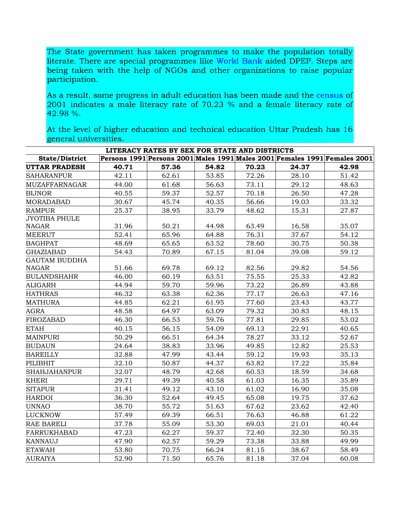The State government has taken programmes to make the population totally literate. There are special programmes like [World Bank](http://en.wikipedia.org/wiki/World_Bank) aided DPEP. Steps are being taken with the help of NGOs and other organizations to raise popular participation.

As a result, some progress in adult education has been made and the [census](http://www.upgov.nic.in/upinfo/census01/cen01-5.htm) of 2001 indicates a male literacy rate of 70.23 % and a female literacy rate of 42.98 %.

At the level of higher education and technical education Uttar Pradesh has 16 general universities.

| LITERACY RATES BY SEX FOR STATE AND DISTRICTS |       |       |       |       |       |                                                                           |  |  |  |  |
|-----------------------------------------------|-------|-------|-------|-------|-------|---------------------------------------------------------------------------|--|--|--|--|
| <b>State/District</b>                         |       |       |       |       |       | Persons 1991 Persons 2001 Males 1991 Males 2001 Females 1991 Females 2001 |  |  |  |  |
| <b>UTTAR PRADESH</b>                          | 40.71 | 57.36 | 54.82 | 70.23 | 24.37 | 42.98                                                                     |  |  |  |  |
| <b>SAHARANPUR</b>                             | 42.11 | 62.61 | 53.85 | 72.26 | 28.10 | 51.42                                                                     |  |  |  |  |
| <b>MUZAFFARNAGAR</b>                          | 44.00 | 61.68 | 56.63 | 73.11 | 29.12 | 48.63                                                                     |  |  |  |  |
| <b>BIJNOR</b>                                 | 40.55 | 59.37 | 52.57 | 70.18 | 26.50 | 47.28                                                                     |  |  |  |  |
| <b>MORADABAD</b>                              | 30.67 | 45.74 | 40.35 | 56.66 | 19.03 | 33.32                                                                     |  |  |  |  |
| <b>RAMPUR</b>                                 | 25.37 | 38.95 | 33.79 | 48.62 | 15.31 | 27.87                                                                     |  |  |  |  |
| <b>JYOTIBA PHULE</b>                          |       |       |       |       |       |                                                                           |  |  |  |  |
| NAGAR                                         | 31.96 | 50.21 | 44.98 | 63.49 | 16.58 | 35.07                                                                     |  |  |  |  |
| <b>MEERUT</b>                                 | 52.41 | 65.96 | 64.88 | 76.31 | 37.67 | 54.12                                                                     |  |  |  |  |
| <b>BAGHPAT</b>                                | 48.69 | 65.65 | 63.52 | 78.60 | 30.75 | 50.38                                                                     |  |  |  |  |
| <b>GHAZIABAD</b>                              | 54.43 | 70.89 | 67.15 | 81.04 | 39.08 | 59.12                                                                     |  |  |  |  |
| <b>GAUTAM BUDDHA</b>                          |       |       |       |       |       |                                                                           |  |  |  |  |
| <b>NAGAR</b>                                  | 51.66 | 69.78 | 69.12 | 82.56 | 29.82 | 54.56                                                                     |  |  |  |  |
| <b>BULANDSHAHR</b>                            | 46.00 | 60.19 | 63.51 | 75.55 | 25.33 | 42.82                                                                     |  |  |  |  |
| <b>ALIGARH</b>                                | 44.94 | 59.70 | 59.96 | 73.22 | 26.89 | 43.88                                                                     |  |  |  |  |
| <b>HATHRAS</b>                                | 46.32 | 63.38 | 62.36 | 77.17 | 26.63 | 47.16                                                                     |  |  |  |  |
| <b>MATHURA</b>                                | 44.85 | 62.21 | 61.95 | 77.60 | 23.43 | 43.77                                                                     |  |  |  |  |
| AGRA                                          | 48.58 | 64.97 | 63.09 | 79.32 | 30.83 | 48.15                                                                     |  |  |  |  |
| <b>FIROZABAD</b>                              | 46.30 | 66.53 | 59.76 | 77.81 | 29.85 | 53.02                                                                     |  |  |  |  |
| <b>ETAH</b>                                   | 40.15 | 56.15 | 54.09 | 69.13 | 22.91 | 40.65                                                                     |  |  |  |  |
| <b>MAINPURI</b>                               | 50.29 | 66.51 | 64.34 | 78.27 | 33.12 | 52.67                                                                     |  |  |  |  |
| <b>BUDAUN</b>                                 | 24.64 | 38.83 | 33.96 | 49.85 | 12.82 | 25.53                                                                     |  |  |  |  |
| <b>BAREILLY</b>                               | 32.88 | 47.99 | 43.44 | 59.12 | 19.93 | 35.13                                                                     |  |  |  |  |
| PILIBHIT                                      | 32.10 | 50.87 | 44.37 | 63.82 | 17.22 | 35.84                                                                     |  |  |  |  |
| <b>SHAHJAHANPUR</b>                           | 32.07 | 48.79 | 42.68 | 60.53 | 18.59 | 34.68                                                                     |  |  |  |  |
| <b>KHERI</b>                                  | 29.71 | 49.39 | 40.58 | 61.03 | 16.35 | 35.89                                                                     |  |  |  |  |
| <b>SITAPUR</b>                                | 31.41 | 49.12 | 43.10 | 61.02 | 16.90 | 35.08                                                                     |  |  |  |  |
| <b>HARDOI</b>                                 | 36.30 | 52.64 | 49.45 | 65.08 | 19.75 | 37.62                                                                     |  |  |  |  |
| <b>UNNAO</b>                                  | 38.70 | 55.72 | 51.63 | 67.62 | 23.62 | 42.40                                                                     |  |  |  |  |
| <b>LUCKNOW</b>                                | 57.49 | 69.39 | 66.51 | 76.63 | 46.88 | 61.22                                                                     |  |  |  |  |
| RAE BARELI                                    | 37.78 | 55.09 | 53.30 | 69.03 | 21.01 | 40.44                                                                     |  |  |  |  |
| <b>FARRUKHABAD</b>                            | 47.23 | 62.27 | 59.37 | 72.40 | 32.30 | 50.35                                                                     |  |  |  |  |
| <b>KANNAUJ</b>                                | 47.90 | 62.57 | 59.29 | 73.38 | 33.88 | 49.99                                                                     |  |  |  |  |
| <b>ETAWAH</b>                                 | 53.80 | 70.75 | 66.24 | 81.15 | 38.67 | 58.49                                                                     |  |  |  |  |
| <b>AURAIYA</b>                                | 52.90 | 71.50 | 65.76 | 81.18 | 37.04 | 60.08                                                                     |  |  |  |  |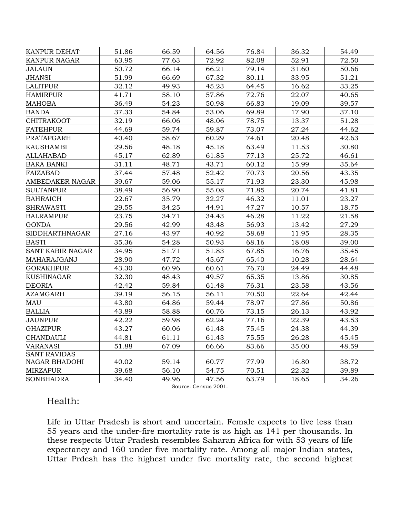| KANPUR DEHAT          | 51.86 | 66.59 | 64.56 | 76.84 | 36.32 | 54.49 |
|-----------------------|-------|-------|-------|-------|-------|-------|
| <b>KANPUR NAGAR</b>   | 63.95 | 77.63 | 72.92 | 82.08 | 52.91 | 72.50 |
| <b>JALAUN</b>         | 50.72 | 66.14 | 66.21 | 79.14 | 31.60 | 50.66 |
| <b>JHANSI</b>         | 51.99 | 66.69 | 67.32 | 80.11 | 33.95 | 51.21 |
| <b>LALITPUR</b>       | 32.12 | 49.93 | 45.23 | 64.45 | 16.62 | 33.25 |
| <b>HAMIRPUR</b>       | 41.71 | 58.10 | 57.86 | 72.76 | 22.07 | 40.65 |
| <b>MAHOBA</b>         | 36.49 | 54.23 | 50.98 | 66.83 | 19.09 | 39.57 |
| <b>BANDA</b>          | 37.33 | 54.84 | 53.06 | 69.89 | 17.90 | 37.10 |
| <b>CHITRAKOOT</b>     | 32.19 | 66.06 | 48.06 | 78.75 | 13.37 | 51.28 |
| <b>FATEHPUR</b>       | 44.69 | 59.74 | 59.87 | 73.07 | 27.24 | 44.62 |
| PRATAPGARH            | 40.40 | 58.67 | 60.29 | 74.61 | 20.48 | 42.63 |
| <b>KAUSHAMBI</b>      | 29.56 | 48.18 | 45.18 | 63.49 | 11.53 | 30.80 |
| <b>ALLAHABAD</b>      | 45.17 | 62.89 | 61.85 | 77.13 | 25.72 | 46.61 |
| <b>BARA BANKI</b>     | 31.11 | 48.71 | 43.71 | 60.12 | 15.99 | 35.64 |
| <b>FAIZABAD</b>       | 37.44 | 57.48 | 52.42 | 70.73 | 20.56 | 43.35 |
| AMBEDAKER NAGAR       | 39.67 | 59.06 | 55.17 | 71.93 | 23.30 | 45.98 |
| <b>SULTANPUR</b>      | 38.49 | 56.90 | 55.08 | 71.85 | 20.74 | 41.81 |
| <b>BAHRAICH</b>       | 22.67 | 35.79 | 32.27 | 46.32 | 11.01 | 23.27 |
| <b>SHRAWASTI</b>      | 29.55 | 34.25 | 44.91 | 47.27 | 10.57 | 18.75 |
| <b>BALRAMPUR</b>      | 23.75 | 34.71 | 34.43 | 46.28 | 11.22 | 21.58 |
| <b>GONDA</b>          | 29.56 | 42.99 | 43.48 | 56.93 | 13.42 | 27.29 |
| <b>SIDDHARTHNAGAR</b> | 27.16 | 43.97 | 40.92 | 58.68 | 11.95 | 28.35 |
| <b>BASTI</b>          | 35.36 | 54.28 | 50.93 | 68.16 | 18.08 | 39.00 |
| SANT KABIR NAGAR      | 34.95 | 51.71 | 51.83 | 67.85 | 16.76 | 35.45 |
| MAHARAJGANJ           | 28.90 | 47.72 | 45.67 | 65.40 | 10.28 | 28.64 |
| <b>GORAKHPUR</b>      | 43.30 | 60.96 | 60.61 | 76.70 | 24.49 | 44.48 |
| <b>KUSHINAGAR</b>     | 32.30 | 48.43 | 49.57 | 65.35 | 13.86 | 30.85 |
| <b>DEORIA</b>         | 42.42 | 59.84 | 61.48 | 76.31 | 23.58 | 43.56 |
| <b>AZAMGARH</b>       | 39.19 | 56.15 | 56.11 | 70.50 | 22.64 | 42.44 |
| <b>MAU</b>            | 43.80 | 64.86 | 59.44 | 78.97 | 27.86 | 50.86 |
| <b>BALLIA</b>         | 43.89 | 58.88 | 60.76 | 73.15 | 26.13 | 43.92 |
| <b>JAUNPUR</b>        | 42.22 | 59.98 | 62.24 | 77.16 | 22.39 | 43.53 |
| <b>GHAZIPUR</b>       | 43.27 | 60.06 | 61.48 | 75.45 | 24.38 | 44.39 |
| <b>CHANDAULI</b>      | 44.81 | 61.11 | 61.43 | 75.55 | 26.28 | 45.45 |
| <b>VARANASI</b>       | 51.88 | 67.09 | 66.66 | 83.66 | 35.00 | 48.59 |
| <b>SANT RAVIDAS</b>   |       |       |       |       |       |       |
| NAGAR BHADOHI         | 40.02 | 59.14 | 60.77 | 77.99 | 16.80 | 38.72 |
| <b>MIRZAPUR</b>       | 39.68 | 56.10 | 54.75 | 70.51 | 22.32 | 39.89 |
| <b>SONBHADRA</b>      | 34.40 | 49.96 | 47.56 | 63.79 | 18.65 | 34.26 |

Source: Census 2001.

#### Health:

Life in Uttar Pradesh is short and uncertain. Female expects to live less than 55 years and the under-fire mortality rate is as high as 141 per thousands. In these respects Uttar Pradesh resembles Saharan Africa for with 53 years of life expectancy and 160 under five mortality rate. Among all major Indian states, Uttar Prdesh has the highest under five mortality rate, the second highest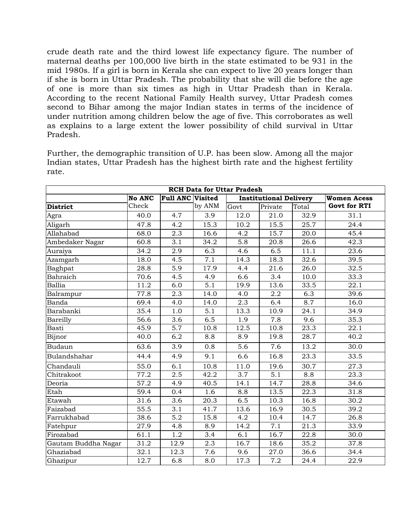crude death rate and the third lowest life expectancy figure. The number of maternal deaths per 100,000 live birth in the state estimated to be 931 in the mid 1980s. If a girl is born in Kerala she can expect to live 20 years longer than if she is born in Uttar Pradesh. The probability that she will die before the age of one is more than six times as high in Uttar Pradesh than in Kerala. According to the recent National Family Health survey, Uttar Pradesh comes second to Bihar among the major Indian states in terms of the incidence of under nutrition among children below the age of five. This corroborates as well as explains to a large extent the lower possibility of child survival in Uttar Pradesh.

Further, the demographic transition of U.P. has been slow. Among all the major Indian states, Uttar Pradesh has the highest birth rate and the highest fertility rate.

| <b>RCH Data for Uttar Pradesh</b> |                   |                  |                  |      |                               |       |                     |  |  |  |  |
|-----------------------------------|-------------------|------------------|------------------|------|-------------------------------|-------|---------------------|--|--|--|--|
|                                   | <b>No ANC</b>     | Full ANC Visited |                  |      | <b>Institutional Delivery</b> |       | <b>Women Acess</b>  |  |  |  |  |
| <b>District</b>                   | Check             |                  | by ANM           | Govt | Private                       | Total | <b>Govt for RTI</b> |  |  |  |  |
| Agra                              | 40.0              | 4.7              | 3.9              | 12.0 | 21.0                          | 32.9  | 31.1                |  |  |  |  |
| Aligarh                           | 47.8              | 4.2              | 15.3             | 10.2 | 15.5                          | 25.7  | 24.4                |  |  |  |  |
| Allahabad                         | 68.0              | 2.3              | 16.6             | 4.2  | 15.7                          | 20.0  | 45.4                |  |  |  |  |
| Ambedaker Nagar                   | 60.8              | 3.1              | 34.2             | 5.8  | 20.8                          | 26.6  | 42.3                |  |  |  |  |
| Auraiya                           | 34.2              | 2.9              | 6.3              | 4.6  | 6.5                           | 11.1  | 23.6                |  |  |  |  |
| Azamgarh                          | 18.0              | 4.5              | 7.1              | 14.3 | 18.3                          | 32.6  | 39.5                |  |  |  |  |
| Baghpat                           | 28.8              | 5.9              | 17.9             | 4.4  | 21.6                          | 26.0  | 32.5                |  |  |  |  |
| Bahraich                          | 70.6              | 4.5              | 4.9              | 6.6  | 3.4                           | 10.0  | 33.3                |  |  |  |  |
| <b>Ballia</b>                     | $\overline{11.2}$ | 6.0              | $\overline{5.1}$ | 19.9 | 13.6                          | 33.5  | 22.1                |  |  |  |  |
| Balrampur                         | 77.8              | $\overline{2.3}$ | 14.0             | 4.0  | 2.2                           | 6.3   | 39.6                |  |  |  |  |
| Banda                             | 69.4              | 4.0              | 14.0             | 2.3  | 6.4                           | 8.7   | 16.0                |  |  |  |  |
| Barabanki                         | 35.4              | 1.0              | 5.1              | 13.3 | 10.9                          | 24.1  | 34.9                |  |  |  |  |
| Bareilly                          | 56.6              | 3.6              | 6.5              | 1.9  | 7.8                           | 9.6   | 35.3                |  |  |  |  |
| Basti                             | 45.9              | 5.7              | 10.8             | 12.5 | 10.8                          | 23.3  | 22.1                |  |  |  |  |
| Bijnor                            | 40.0              | 6.2              | 8.8              | 8.9  | 19.8                          | 28.7  | 40.2                |  |  |  |  |
| Budaun                            | 63.6              | 3.9              | 0.8              | 5.6  | 7.6                           | 13.2  | 30.0                |  |  |  |  |
| Bulandshahar                      | 44.4              | 4.9              | 9.1              | 6.6  | $\overline{1}$ 6.8            | 23.3  | 33.5                |  |  |  |  |
| Chandauli                         | 55.0              | 6.1              | 10.8             | 11.0 | 19.6                          | 30.7  | 27.3                |  |  |  |  |
| Chitrakoot                        | 77.2              | 2.5              | 42.2             | 3.7  | $\overline{5.1}$              | 8.8   | 23.3                |  |  |  |  |
| Deoria                            | $\overline{5}7.2$ | 4.9              | 40.5             | 14.1 | 14.7                          | 28.8  | 34.6                |  |  |  |  |
| Etah                              | 59.4              | 0.4              | 1.6              | 8.8  | 13.5                          | 22.3  | 31.8                |  |  |  |  |
| Etawah                            | 31.6              | 3.6              | 20.3             | 6.5  | 10.3                          | 16.8  | 30.2                |  |  |  |  |
| Faizabad                          | 55.5              | $\overline{3.1}$ | 41.7             | 13.6 | 16.9                          | 30.5  | 39.2                |  |  |  |  |
| Farrukhabad                       | 38.6              | 5.2              | 15.8             | 4.2  | 10.4                          | 14.7  | 26.8                |  |  |  |  |
| Fatehpur                          | 27.9              | 4.8              | 8.9              | 14.2 | 7.1                           | 21.3  | 33.9                |  |  |  |  |
| Firozabad                         | 61.1              | 1.2              | 3.4              | 6.1  | 16.7                          | 22.8  | 30.0                |  |  |  |  |
| Gautam Buddha Nagar               | 31.2              | 12.9             | 2.3              | 16.7 | 18.6                          | 35.2  | 37.8                |  |  |  |  |
| Ghaziabad                         | 32.1              | 12.3             | 7.6              | 9.6  | 27.0                          | 36.6  | 34.4                |  |  |  |  |
| Ghazipur                          | $\overline{12.7}$ | 6.8              | 8.0              | 17.3 | $\overline{7.2}$              | 24.4  | 22.9                |  |  |  |  |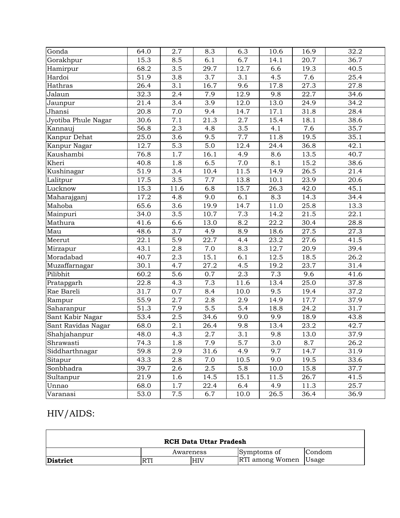| Gonda               | 64.0              | 2.7              | 8.3  | 6.3              | 10.6               | 16.9 | 32.2              |
|---------------------|-------------------|------------------|------|------------------|--------------------|------|-------------------|
| Gorakhpur           | 15.3              | 8.5              | 6.1  | 6.7              | $\overline{1}$ 4.1 | 20.7 | 36.7              |
| Hamirpur            | 68.2              | 3.5              | 29.7 | 12.7             | 6.6                | 19.3 | 40.5              |
| Hardoi              | 51.9              | 3.8              | 3.7  | 3.1              | 4.5                | 7.6  | 25.4              |
| Hathras             | 26.4              | 3.1              | 16.7 | 9.6              | 17.8               | 27.3 | 27.8              |
| Jalaun              | 32.3              | 2.4              | 7.9  | 12.9             | 9.8                | 22.7 | 34.6              |
| Jaunpur             | 21.4              | 3.4              | 3.9  | 12.0             | 13.0               | 24.9 | 34.2              |
| Jhansi              | 20.8              | 7.0              | 9.4  | 14.7             | 17.1               | 31.8 | 28.4              |
| Jyotiba Phule Nagar | 30.6              | 7.1              | 21.3 | 2.7              | 15.4               | 18.1 | 38.6              |
| Kannauj             | 56.8              | 2.3              | 4.8  | 3.5              | 4.1                | 7.6  | 35.7              |
| Kanpur Dehat        | 25.0              | 3.6              | 9.5  | 7.7              | 11.8               | 19.5 | 35.1              |
| Kanpur Nagar        | 12.7              | 5.3              | 5.0  | 12.4             | 24.4               | 36.8 | 42.1              |
| Kaushambi           | 76.8              | 1.7              | 16.1 | 4.9              | 8.6                | 13.5 | 40.7              |
| Kheri               | 40.8              | 1.8              | 6.5  | 7.0              | 8.1                | 15.2 | 38.6              |
| Kushinagar          | 51.9              | 3.4              | 10.4 | 11.5             | 14.9               | 26.5 | 21.4              |
| Lalitpur            | 17.5              | $\overline{3.5}$ | 7.7  | 13.8             | 10.1               | 23.9 | 20.6              |
| Lucknow             | 15.3              | 11.6             | 6.8  | 15.7             | 26.3               | 42.0 | 45.1              |
| Maharajganj         | $\overline{17.2}$ | 4.8              | 9.0  | 6.1              | 8.3                | 14.3 | 34.4              |
| Mahoba              | 65.6              | 3.6              | 19.9 | 14.7             | 11.0               | 25.8 | 13.3              |
| Mainpuri            | 34.0              | 3.5              | 10.7 | 7.3              | 14.2               | 21.5 | 22.1              |
| Mathura             | 41.6              | 6.6              | 13.0 | 8.2              | 22.2               | 30.4 | 28.8              |
| Mau                 | 48.6              | 3.7              | 4.9  | 8.9              | 18.6               | 27.5 | 27.3              |
| Meerut              | 22.1              | 5.9              | 22.7 | 4.4              | 23.2               | 27.6 | 41.5              |
| Mirzapur            | 43.1              | 2.8              | 7.0  | 8.3              | 12.7               | 20.9 | 39.4              |
| Moradabad           | 40.7              | 2.3              | 15.1 | 6.1              | 12.5               | 18.5 | 26.2              |
| Muzaffarnagar       | 30.1              | 4.7              | 27.2 | 4.5              | 19.2               | 23.7 | $\overline{3}1.4$ |
| Pilibhit            | 60.2              | 5.6              | 0.7  | 2.3              | 7.3                | 9.6  | 41.6              |
| Pratapgarh          | 22.8              | 4.3              | 7.3  | 11.6             | 13.4               | 25.0 | 37.8              |
| Rae Bareli          | 31.7              | 0.7              | 8.4  | 10.0             | 9.5                | 19.4 | 37.2              |
| Rampur              | 55.9              | 2.7              | 2.8  | 2.9              | 14.9               | 17.7 | 37.9              |
| Saharanpur          | 51.3              | 7.9              | 5.5  | $\overline{5.4}$ | 18.8               | 24.2 | 31.7              |
| Sant Kabir Nagar    | 53.4              | $2.5\,$          | 34.6 | 9.0              | 9.9                | 18.9 | 43.8              |
| Sant Ravidas Nagar  | 68.0              | 2.1              | 26.4 | 9.8              | 13.4               | 23.2 | 42.7              |
| Shahjahanpur        | 48.0              | 4.3              | 2.7  | $\overline{3.1}$ | 9.8                | 13.0 | 37.9              |
| Shrawasti           | 74.3              | 1.8              | 7.9  | 5.7              | 3.0                | 8.7  | 26.2              |
| Siddharthnagar      | 59.8              | 2.9              | 31.6 | 4.9              | 9.7                | 14.7 | 31.9              |
| Sitapur             | 43.3              | 2.8              | 7.0  | 10.5             | 9.0                | 19.5 | 33.6              |
| Sonbhadra           | 39.7              | 2.6              | 2.5  | 5.8              | 10.0               | 15.8 | 37.7              |
| Sultanpur           | 21.9              | 1.6              | 14.5 | 15.1             | 11.5               | 26.7 | 41.5              |
| Unnao               | 68.0              | 1.7              | 22.4 | 6.4              | 4.9                | 11.3 | 25.7              |
| Varanasi            | 53.0              | 7.5              | 6.7  | 10.0             | 26.5               | 36.4 | 36.9              |

### HIV/AIDS:

| <b>RCH Data Uttar Pradesh</b> |           |     |                              |        |  |  |  |  |  |  |
|-------------------------------|-----------|-----|------------------------------|--------|--|--|--|--|--|--|
|                               | Awareness |     | Symptoms of                  | Condom |  |  |  |  |  |  |
| District                      | RTI       | HIV | <b>RTI</b> among Women Usage |        |  |  |  |  |  |  |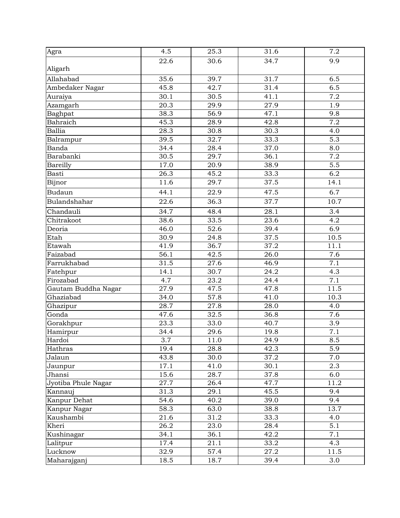| Agra                | 4.5              | 25.3              | 31.6              | 7.2               |
|---------------------|------------------|-------------------|-------------------|-------------------|
|                     | 22.6             | 30.6              | 34.7              | 9.9               |
| Aligarh             |                  |                   |                   |                   |
| Allahabad           | 35.6             | 39.7              | 31.7              | 6.5               |
| Ambedaker Nagar     | 45.8             | 42.7              | 31.4              | 6.5               |
| Auraiya             | 30.1             | 30.5              | 41.1              | $\overline{7.2}$  |
| Azamgarh            | 20.3             | 29.9              | 27.9              | 1.9               |
| Baghpat             | 38.3             | 56.9              | 47.1              | 9.8               |
| Bahraich            | 45.3             | 28.9              | 42.8              | 7.2               |
| Ballia              | 28.3             | 30.8              | $\overline{30.3}$ | 4.0               |
| Balrampur           | 39.5             | 32.7              | 33.3              | 5.3               |
| Banda               | 34.4             | 28.4              | 37.0              | 8.0               |
| Barabanki           | 30.5             | 29.7              | 36.1              | 7.2               |
| Bareilly            | 17.0             | 20.9              | 38.9              | 5.5               |
| Basti               | 26.3             | 45.2              | 33.3              | 6.2               |
| Bijnor              | 11.6             | 29.7              | 37.5              | $\overline{14}.1$ |
| Budaun              | 44.1             | 22.9              | 47.5              | 6.7               |
| Bulandshahar        | 22.6             | 36.3              | 37.7              | 10.7              |
| Chandauli           | 34.7             | 48.4              | 28.1              | 3.4               |
| Chitrakoot          | 38.6             | 33.5              | 23.6              | 4.2               |
| Deoria              | 46.0             | 52.6              | 39.4              | 6.9               |
| Etah                | 30.9             | 24.8              | 37.5              | 10.5              |
| Etawah              | 41.9             | 36.7              | 37.2              | 11.1              |
| Faizabad            | 56.1             | 42.5              | 26.0              | 7.6               |
| Farrukhabad         | 31.5             | $\overline{27.6}$ | 46.9              | 7.1               |
| Fatehpur            | 14.1             | 30.7              | 24.2              | 4.3               |
| Firozabad           | 4.7              | 23.2              | 24.4              | 7.1               |
| Gautam Buddha Nagar | 27.9             | 47.5              | 47.8              | 11.5              |
| Ghaziabad           | 34.0             | 57.8              | 41.0              | 10.3              |
| Ghazipur            | 28.7             | 27.8              | 28.0              | 4.0               |
| Gonda               | 47.6             | 32.5              | 36.8              | 7.6               |
| Gorakhpur           | 23.3             | 33.0              | 40.7              | 3.9               |
| Hamirpur            | 34.4             | 29.6              | 19.8              | 7.1               |
| Hardoi              | $\overline{3.7}$ | 11.0              | 24.9              | 8.5               |
| Hathras             | 19.4             | 28.8              | 42.3              | 5.9               |
| Jalaun              | 43.8             | 30.0              | 37.2              | 7.0               |
| Jaunpur             | 17.1             | 41.0              | 30.1              | 2.3               |
| Jhansi              | 15.6             | 28.7              | 37.8              | 6.0               |
| Jyotiba Phule Nagar | 27.7             | 26.4              | 47.7              | 11.2              |
| Kannauj             | 31.3             | 29.1              | 45.5              | 9.4               |
| Kanpur Dehat        | 54.6             | 40.2              | 39.0              | 9.4               |
| Kanpur Nagar        | 58.3             | 63.0              | 38.8              | 13.7              |
| Kaushambi           | 21.6             | 31.2              | 33.3              | 4.0               |
| Kheri               | 26.2             | 23.0              | 28.4              | 5.1               |
| Kushinagar          | 34.1             | 36.1              | 42.2              | 7.1               |
| Lalitpur            | 17.4             | 21.1              | 33.2              | 4.3               |
| Lucknow             | 32.9             | 57.4              | 27.2              | 11.5              |
| Maharajganj         | 18.5             | 18.7              | 39.4              | 3.0               |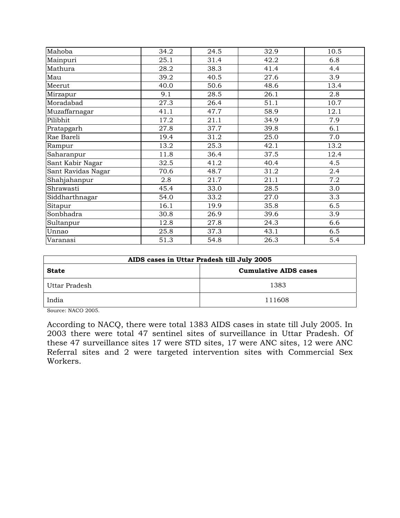| Mahoba             | 34.2 | 24.5 | 32.9 | 10.5 |
|--------------------|------|------|------|------|
| Mainpuri           | 25.1 | 31.4 | 42.2 | 6.8  |
| Mathura            | 28.2 | 38.3 | 41.4 | 4.4  |
| Mau                | 39.2 | 40.5 | 27.6 | 3.9  |
| Meerut             | 40.0 | 50.6 | 48.6 | 13.4 |
| Mirzapur           | 9.1  | 28.5 | 26.1 | 2.8  |
| Moradabad          | 27.3 | 26.4 | 51.1 | 10.7 |
| Muzaffarnagar      | 41.1 | 47.7 | 58.9 | 12.1 |
| Pilibhit           | 17.2 | 21.1 | 34.9 | 7.9  |
| Pratapgarh         | 27.8 | 37.7 | 39.8 | 6.1  |
| Rae Bareli         | 19.4 | 31.2 | 25.0 | 7.0  |
| Rampur             | 13.2 | 25.3 | 42.1 | 13.2 |
| Saharanpur         | 11.8 | 36.4 | 37.5 | 12.4 |
| Sant Kabir Nagar   | 32.5 | 41.2 | 40.4 | 4.5  |
| Sant Ravidas Nagar | 70.6 | 48.7 | 31.2 | 2.4  |
| Shahjahanpur       | 2.8  | 21.7 | 21.1 | 7.2  |
| Shrawasti          | 45.4 | 33.0 | 28.5 | 3.0  |
| Siddharthnagar     | 54.0 | 33.2 | 27.0 | 3.3  |
| Sitapur            | 16.1 | 19.9 | 35.8 | 6.5  |
| Sonbhadra          | 30.8 | 26.9 | 39.6 | 3.9  |
| Sultanpur          | 12.8 | 27.8 | 24.3 | 6.6  |
| Unnao              | 25.8 | 37.3 | 43.1 | 6.5  |
| Varanasi           | 51.3 | 54.8 | 26.3 | 5.4  |

| AIDS cases in Uttar Pradesh till July 2005 |                              |  |  |  |  |  |  |
|--------------------------------------------|------------------------------|--|--|--|--|--|--|
| <b>State</b>                               | <b>Cumulative AIDS cases</b> |  |  |  |  |  |  |
| Uttar Pradesh                              | 1383                         |  |  |  |  |  |  |
| India                                      | 111608                       |  |  |  |  |  |  |

Source: NACO 2005.

According to NACQ, there were total 1383 AIDS cases in state till July 2005. In 2003 there were total 47 sentinel sites of surveillance in Uttar Pradesh. Of these 47 surveillance sites 17 were STD sites, 17 were ANC sites, 12 were ANC Referral sites and 2 were targeted intervention sites with Commercial Sex Workers.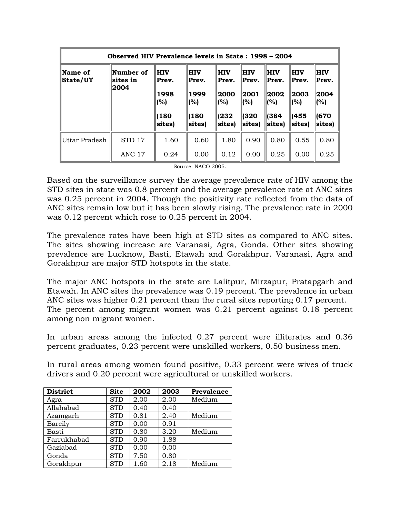| Observed HIV Prevalence levels in State : 1998 – 2004 |                                |                                                      |                                                     |                                                       |                                                       |                                                           |                                                       |                                                      |  |
|-------------------------------------------------------|--------------------------------|------------------------------------------------------|-----------------------------------------------------|-------------------------------------------------------|-------------------------------------------------------|-----------------------------------------------------------|-------------------------------------------------------|------------------------------------------------------|--|
| Name of<br> State/UT                                  | Number of<br> sites in<br>2004 | <b>HIV</b><br>Prev.<br>1998<br>(%)<br>1180<br>sites) | <b>HIV</b><br>Prev.<br>1999<br>(%)<br>180<br>sites) | <b>HIV</b><br>Prev.<br>2000<br>(%)<br>(232)<br>sites) | <b>HIV</b><br>Prev.<br> 2001<br>(%)<br>(320<br>sites) | <b>HIV</b><br>Prev.<br>  2002<br>  (%)<br>∥(384<br>sites) | <b>HIV</b><br>Prev.<br>2003<br>(%)<br>(455)<br>sites) | <b>HIV</b><br>Prev.<br>2004<br>(%)<br>1670<br>sites) |  |
|                                                       |                                |                                                      |                                                     |                                                       |                                                       |                                                           |                                                       |                                                      |  |
| Uttar Pradesh                                         | STD 17                         | 1.60                                                 | 0.60                                                | 1.80                                                  | 0.90                                                  | 0.80                                                      | 0.55                                                  | 0.80                                                 |  |
|                                                       | <b>ANC 17</b>                  | 0.24                                                 | 0.00                                                | 0.12                                                  | 0.00                                                  | 0.25                                                      | 0.00                                                  | 0.25                                                 |  |

Source: NACO 2005.

Based on the surveillance survey the average prevalence rate of HIV among the STD sites in state was 0.8 percent and the average prevalence rate at ANC sites was 0.25 percent in 2004. Though the positivity rate reflected from the data of ANC sites remain low but it has been slowly rising. The prevalence rate in 2000 was 0.12 percent which rose to 0.25 percent in 2004.

The prevalence rates have been high at STD sites as compared to ANC sites. The sites showing increase are Varanasi, Agra, Gonda. Other sites showing prevalence are Lucknow, Basti, Etawah and Gorakhpur. Varanasi, Agra and Gorakhpur are major STD hotspots in the state.

The major ANC hotspots in the state are Lalitpur, Mirzapur, Pratapgarh and Etawah. In ANC sites the prevalence was 0.19 percent. The prevalence in urban ANC sites was higher 0.21 percent than the rural sites reporting 0.17 percent. The percent among migrant women was 0.21 percent against 0.18 percent among non migrant women.

In urban areas among the infected 0.27 percent were illiterates and 0.36 percent graduates, 0.23 percent were unskilled workers, 0.50 business men.

In rural areas among women found positive, 0.33 percent were wives of truck drivers and 0.20 percent were agricultural or unskilled workers.

| <b>District</b> | <b>Site</b> | 2002 | 2003 | Prevalence |
|-----------------|-------------|------|------|------------|
| Agra            | <b>STD</b>  | 2.00 | 2.00 | Medium     |
| Allahabad       | <b>STD</b>  | 0.40 | 0.40 |            |
| Azamgarh        | <b>STD</b>  | 0.81 | 2.40 | Medium     |
| Bareily         | <b>STD</b>  | 0.00 | 0.91 |            |
| Basti           | <b>STD</b>  | 0.80 | 3.20 | Medium     |
| Farrukhabad     | <b>STD</b>  | 0.90 | 1.88 |            |
| Gaziabad        | <b>STD</b>  | 0.00 | 0.00 |            |
| Gonda           | <b>STD</b>  | 7.50 | 0.80 |            |
| Gorakhpur       | <b>STD</b>  | 1.60 | 2.18 | Medium     |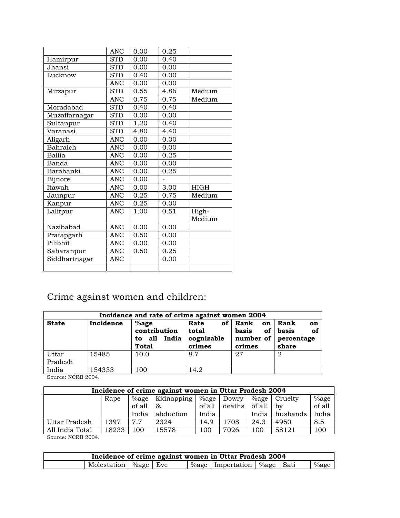|               | <b>ANC</b> | 0.00 | 0.25 |             |
|---------------|------------|------|------|-------------|
| Hamirpur      | <b>STD</b> | 0.00 | 0.40 |             |
| Jhansi        | <b>STD</b> | 0.00 | 0.00 |             |
| Lucknow       | <b>STD</b> | 0.40 | 0.00 |             |
|               | <b>ANC</b> | 0.00 | 0.00 |             |
| Mirzapur      | <b>STD</b> | 0.55 | 4.86 | Medium      |
|               | <b>ANC</b> | 0.75 | 0.75 | Medium      |
| Moradabad     | <b>STD</b> | 0.40 | 0.40 |             |
| Muzaffarnagar | <b>STD</b> | 0.00 | 0.00 |             |
| Sultanpur     | <b>STD</b> | 1.20 | 0.40 |             |
| Varanasi      | <b>STD</b> | 4.80 | 4.40 |             |
| Aligarh       | <b>ANC</b> | 0.00 | 0.00 |             |
| Bahraich      | <b>ANC</b> | 0.00 | 0.00 |             |
| Ballia        | <b>ANC</b> | 0.00 | 0.25 |             |
| Banda         | <b>ANC</b> | 0.00 | 0.00 |             |
| Barabanki     | <b>ANC</b> | 0.00 | 0.25 |             |
| Bijnore       | <b>ANC</b> | 0.00 |      |             |
| Itawah        | <b>ANC</b> | 0.00 | 3.00 | <b>HIGH</b> |
| Jaunpur       | <b>ANC</b> | 0.25 | 0.75 | Medium      |
| Kanpur        | <b>ANC</b> | 0.25 | 0.00 |             |
| Lalitpur      | <b>ANC</b> | 1.00 | 0.51 | High-       |
|               |            |      |      | Medium      |
| Nazibabad     | <b>ANC</b> | 0.00 | 0.00 |             |
| Pratapgarh    | <b>ANC</b> | 0.50 | 0.00 |             |
| Pilibhit      | <b>ANC</b> | 0.00 | 0.00 |             |
| Saharanpur    | <b>ANC</b> | 0.50 | 0.25 |             |
| Siddhartnagar | <b>ANC</b> |      | 0.00 |             |
|               |            |      |      |             |

## Crime against women and children:

| Incidence and rate of crime against women 2004 |           |                                                               |                                             |                                                    |                                                             |  |  |  |  |  |  |
|------------------------------------------------|-----------|---------------------------------------------------------------|---------------------------------------------|----------------------------------------------------|-------------------------------------------------------------|--|--|--|--|--|--|
| <b>State</b>                                   | Incidence | $%$ age<br>contribution<br>India<br>all<br>to<br><b>Total</b> | of<br>Rate<br>total<br>cognizable<br>crimes | Rank<br>on<br>basis<br>number of $\vert$<br>crimes | Rank<br>on<br>of<br>of $\vert$ basis<br>percentage<br>share |  |  |  |  |  |  |
| Uttar<br>Pradesh                               | 15485     | 10.0                                                          | 8.7                                         | 27                                                 | 2                                                           |  |  |  |  |  |  |
| India<br>$\alpha_{\text{max}}$ , NODD 0004     | 154333    | 100                                                           | 14.2                                        |                                                    |                                                             |  |  |  |  |  |  |

Source: NCRB 2004.

| Incidence of crime against women in Uttar Pradesh 2004                   |      |          |            |          |        |          |          |         |  |  |
|--------------------------------------------------------------------------|------|----------|------------|----------|--------|----------|----------|---------|--|--|
|                                                                          | Rape | $\%$ age | Kidnapping | $\%$ age | Dowry  | $\%$ age | Cruelty  | $%$ age |  |  |
|                                                                          |      | of all   | &          | of all   | deaths | of all   | by       | of all  |  |  |
|                                                                          |      | India    | abduction  | India    |        | India    | husbands | India   |  |  |
| Uttar Pradesh                                                            | 1397 | 7.7      | 2324       | 14.9     | 1708   | 24.3     | 4950     | 8.5     |  |  |
| 15578<br>18233<br>58121<br>All India Total<br>100<br>l 00<br>7026<br>100 |      |          |            |          |        |          |          | 100     |  |  |
| $O_{\text{average}}$ , NODD 0004                                         |      |          |            |          |        |          |          |         |  |  |

| Incidence of crime against women in Uttar Pradesh 2004 |  |  |  |                                  |  |  |          |  |  |
|--------------------------------------------------------|--|--|--|----------------------------------|--|--|----------|--|--|
| Molestation   %age   Eve                               |  |  |  | %age   Importation   %age   Sati |  |  | $\%$ age |  |  |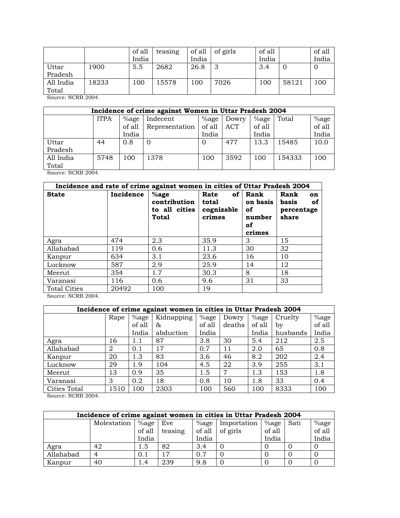|           |       | of all | teasing | of all | of girls | of all |       | of all         |
|-----------|-------|--------|---------|--------|----------|--------|-------|----------------|
|           |       | India  |         | India  |          | India  |       | India          |
| Uttar     | 1900  | 5.5    | 2682    | 26.8   | 3        | 3.4    | Ü     | $\overline{0}$ |
| Pradesh   |       |        |         |        |          |        |       |                |
| All India | 18233 | 100    | 5578    | 100    | 7026     | 100    | 58121 | 100            |
| Total     |       |        |         |        |          |        |       |                |

Source: NCRB 2004.

| Incidence of crime against Women in Uttar Pradesh 2004 |             |          |                |         |       |          |        |        |  |  |  |
|--------------------------------------------------------|-------------|----------|----------------|---------|-------|----------|--------|--------|--|--|--|
|                                                        | <b>ITPA</b> | $\%$ age | Indecent       | $%$ age | Dowry | $\%$ age | Total  | %age   |  |  |  |
|                                                        |             | of all   | Representation | of all  | ACT   | of all   |        | of all |  |  |  |
|                                                        |             | India    |                | India   |       | India    |        | India  |  |  |  |
| Uttar                                                  | 44          | 0.8      |                |         | 477   | 13.3     | 15485  | 10.0   |  |  |  |
| Pradesh                                                |             |          |                |         |       |          |        |        |  |  |  |
| All India                                              | 5748        | 100      | 1378           | 100     | 3592  | 100      | 154333 | 100    |  |  |  |
| Total                                                  |             |          |                |         |       |          |        |        |  |  |  |

Source: NCRB 2004.

| Incidence and rate of crime against women in cities of Uttar Pradesh 2004 |           |                                                   |                                       |                                                     |                                                  |  |  |  |  |  |  |
|---------------------------------------------------------------------------|-----------|---------------------------------------------------|---------------------------------------|-----------------------------------------------------|--------------------------------------------------|--|--|--|--|--|--|
| <b>State</b>                                                              | Incidence | $%$ age<br>contribution<br>to all cities<br>Total | Rate<br>total<br>cognizable<br>crimes | of Rank<br>on basis<br>оf<br>number<br>οf<br>crimes | Rank<br>on<br>basis<br>οf<br>percentage<br>share |  |  |  |  |  |  |
| Agra                                                                      | 474       | 2.3                                               | 35.9                                  | 3                                                   | 15                                               |  |  |  |  |  |  |
| Allahabad                                                                 | 119       | 0.6                                               | 11.3                                  | 30                                                  | 32                                               |  |  |  |  |  |  |
| Kanpur                                                                    | 634       | 3.1                                               | 23.6                                  | 16                                                  | 10                                               |  |  |  |  |  |  |
| Lucknow                                                                   | 587       | 2.9                                               | 25.9                                  | 14                                                  | 12                                               |  |  |  |  |  |  |
| Meerut                                                                    | 354       | 1.7                                               | 30.3                                  | 8                                                   | 18                                               |  |  |  |  |  |  |
| Varanasi                                                                  | 116       | 0.6                                               | 9.6                                   | 31                                                  | 33                                               |  |  |  |  |  |  |
| <b>Total Cities</b>                                                       | 20492     | 100                                               | 19                                    |                                                     |                                                  |  |  |  |  |  |  |

Source: NCRB 2004.

|              | Incidence of crime against women in cities in Uttar Pradesh 2004 |          |            |         |                |         |          |        |  |  |  |  |
|--------------|------------------------------------------------------------------|----------|------------|---------|----------------|---------|----------|--------|--|--|--|--|
|              | Rape                                                             | $\%$ age | Kidnapping | $%$ age | Dowry          | $%$ age | Cruelty  | %age   |  |  |  |  |
|              |                                                                  | of all   | &          | of all  | deaths         | of all  | bv       | of all |  |  |  |  |
|              |                                                                  | India    | abduction  | India   |                | India   | husbands | India  |  |  |  |  |
| Agra         | 16                                                               | 1.1      | 87         | 3.8     | 30             | 5.4     | 212      | 2.5    |  |  |  |  |
| Allahabad    | 2                                                                | 0.1      | 17         | 0.7     | 11             | 2.0     | 65       | 0.8    |  |  |  |  |
| Kanpur       | 20                                                               | 1.3      | 83         | 3.6     | 46             | 8.2     | 202      | 2.4    |  |  |  |  |
| Lucknow      | 29                                                               | 1.9      | 104        | 4.5     | 22             | 3.9     | 255      | 3.1    |  |  |  |  |
| Meerut       | 13                                                               | 0.9      | 35         | 1.5     | $\overline{7}$ | 1.3     | 153      | 1.8    |  |  |  |  |
| Varanasi     | 3                                                                | 0.2      | 18         | 0.8     | 10             | 1.8     | 33       | 0.4    |  |  |  |  |
| Cities Total | 1510                                                             | 100      | 2303       | 100     | 560            | 100     | 8333     | 100    |  |  |  |  |

| Incidence of crime against women in cities in Uttar Pradesh 2004 |             |          |         |       |                         |          |      |        |  |  |  |
|------------------------------------------------------------------|-------------|----------|---------|-------|-------------------------|----------|------|--------|--|--|--|
|                                                                  | Molestation | $\%$ age | Eve     |       | %age   Importation      | $\%$ age | Sati | %age   |  |  |  |
|                                                                  |             | of all   | teasing |       | of all $\vert$ of girls | of all   |      | of all |  |  |  |
|                                                                  |             | India    |         | India |                         | India    |      | India  |  |  |  |
| Agra                                                             | 42          | 1.5      | 82      | 3.4   |                         |          |      |        |  |  |  |
| Allahabad                                                        |             | 0.1      | 17      | 0.7   |                         |          |      |        |  |  |  |
| Kanpur                                                           | 40          | l .4     | 239     | 9.8   |                         |          |      |        |  |  |  |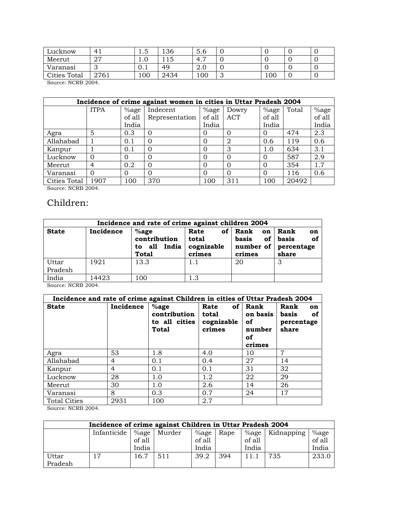| Lucknow      | 4 <sub>1</sub> | ں ـ | 136  | 5.0 |   |     | ັ |
|--------------|----------------|-----|------|-----|---|-----|---|
| Meerut       | 77<br>، ہے     | ⊥.∪ |      | 4.7 |   |     | v |
| Varanasi     |                | U.I | 49   | Z.U |   |     | v |
| Cities Total | 2761           | 100 | 2434 | 100 | ັ | 100 | v |

Source: NCRB 2004.

|              | Incidence of crime against women in cities in Uttar Pradesh 2004 |          |                |               |          |          |       |        |  |  |  |
|--------------|------------------------------------------------------------------|----------|----------------|---------------|----------|----------|-------|--------|--|--|--|
|              | <b>ITPA</b>                                                      | $\%$ age | Indecent       | $\%$ age      | Dowry    | $%$ age  | Total | %age   |  |  |  |
|              |                                                                  | of all   | Representation | of all        | ACT      | of all   |       | of all |  |  |  |
|              |                                                                  | India    |                | India         |          | India    |       | India  |  |  |  |
| Agra         | 5                                                                | 0.3      |                | $\mathcal{O}$ | $\Omega$ | $\theta$ | 474   | 2.3    |  |  |  |
| Allahabad    |                                                                  | 0.1      | 0              |               | 2        | 0.6      | 119   | 0.6    |  |  |  |
| Kanpur       |                                                                  | 0.1      |                | Ω             | 3        | 1.0      | 634   | 3.1    |  |  |  |
| Lucknow      | $\Omega$                                                         |          |                | O             | $\Omega$ | $\Omega$ | 587   | 2.9    |  |  |  |
| Meerut       | 4                                                                | 0.2      | ∩              | 0             | $\Omega$ | $\Omega$ | 354   | 1.7    |  |  |  |
| Varanasi     | $\Omega$                                                         | 0        |                | 0             | $\Omega$ | $\Omega$ | 116   | 0.6    |  |  |  |
| Cities Total | 907                                                              | 100      | 370            | 100           | 311      | 100      | 20492 |        |  |  |  |

Source: NCRB 2004.

#### Children:

| Incidence and rate of crime against children 2004 |           |                                                            |                                       |                                                     |                                                             |  |  |  |  |  |
|---------------------------------------------------|-----------|------------------------------------------------------------|---------------------------------------|-----------------------------------------------------|-------------------------------------------------------------|--|--|--|--|--|
| <b>State</b>                                      | Incidence | $%$ age<br>contribution<br>India<br>to all<br><b>Total</b> | Rate<br>total<br>cognizable<br>crimes | of   Rank<br>on<br>basis<br>number of $ $<br>crimes | Rank<br>on<br>of<br>of $\vert$ basis<br>percentage<br>share |  |  |  |  |  |
| Uttar<br>Pradesh                                  | 1921      | 13.3                                                       | 1.1                                   | 20                                                  |                                                             |  |  |  |  |  |
| India                                             | 14423     | 100                                                        | 1.3                                   |                                                     |                                                             |  |  |  |  |  |

Source: NCRB 2004.

| Incidence and rate of crime against Children in cities of Uttar Pradesh 2004 |           |                                                          |                                       |                                                     |                                                  |  |  |  |  |  |  |
|------------------------------------------------------------------------------|-----------|----------------------------------------------------------|---------------------------------------|-----------------------------------------------------|--------------------------------------------------|--|--|--|--|--|--|
| <b>State</b>                                                                 | Incidence | $%$ age<br>contribution<br>to all cities<br><b>Total</b> | Rate<br>total<br>cognizable<br>crimes | of Rank<br>on basis<br>оf<br>number<br>οf<br>crimes | Rank<br>on<br>basis<br>оf<br>percentage<br>share |  |  |  |  |  |  |
| Agra                                                                         | 53        | 1.8                                                      | 4.0                                   | 10                                                  | 7                                                |  |  |  |  |  |  |
| Allahabad                                                                    | 4         | 0.1                                                      | 0.4                                   | 27                                                  | 14                                               |  |  |  |  |  |  |
| Kanpur                                                                       | 4         | 0.1                                                      | 0.1                                   | 31                                                  | 32                                               |  |  |  |  |  |  |
| Lucknow                                                                      | 28        | 1.0                                                      | 1.2                                   | 22                                                  | 29                                               |  |  |  |  |  |  |
| Meerut                                                                       | 30        | 1.0                                                      | 2.6                                   | 14                                                  | 26                                               |  |  |  |  |  |  |
| Varanasi                                                                     | 8         | 0.3                                                      | 0.7                                   | 24                                                  | 17                                               |  |  |  |  |  |  |
| <b>Total Cities</b>                                                          | 2931      | 100                                                      | 2.7                                   |                                                     |                                                  |  |  |  |  |  |  |

| Incidence of crime against Children in Uttar Pradesh 2004 |             |          |        |          |      |        |                   |        |  |  |
|-----------------------------------------------------------|-------------|----------|--------|----------|------|--------|-------------------|--------|--|--|
|                                                           | Infanticide | $\%$ age | Murder | $\%$ age | Rape |        | %age   Kidnapping | %age   |  |  |
|                                                           |             | of all   |        | of all   |      | of all |                   | of all |  |  |
|                                                           |             | India    |        | India    |      | India  |                   | India  |  |  |
| Uttar                                                     | 17          | 16.7     | 511    | 39.2     | 394  | 11.1   | 735               | 233.0  |  |  |
| Pradesh                                                   |             |          |        |          |      |        |                   |        |  |  |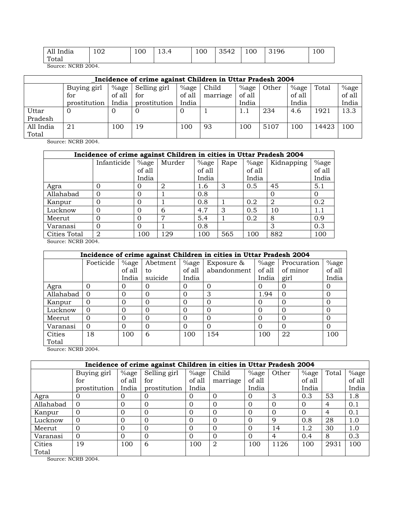| All India | 102 | 100 | ຳ<br>ד.ט⊥ | 100 | 3542 | 100 | 3196 | 100 |
|-----------|-----|-----|-----------|-----|------|-----|------|-----|
| Total     |     |     |           |     |      |     |      |     |

Source: NCRB 2004.

| Incidence of crime against Children in Uttar Pradesh 2004 |              |        |              |          |          |         |       |         |       |         |
|-----------------------------------------------------------|--------------|--------|--------------|----------|----------|---------|-------|---------|-------|---------|
|                                                           | Buying girl  | %age   | Selling girl | $%$ age  | Child    | $%$ age | Other | $%$ age | Total | $%$ age |
|                                                           | for          | of all | for          | of all   | marriage | of all  |       | of all  |       | of all  |
|                                                           | prostitution | India  | prostitution | India    |          | India   |       | India   |       | India   |
| Uttar                                                     | $\Omega$     | O      |              | $\Omega$ |          | 1.1     | 234   | 4.6     | 1921  | 13.3    |
| Pradesh                                                   |              |        |              |          |          |         |       |         |       |         |
| All India                                                 | 21           | l 00   | 19           | 100      | 93       | 100     | 5107  | 100     | 14423 | 100     |
| Total                                                     |              |        |              |          |          |         |       |         |       |         |

Source: NCRB 2004.

|              | Incidence of crime against Children in cities in Uttar Pradesh 2004 |          |        |        |      |          |            |          |  |
|--------------|---------------------------------------------------------------------|----------|--------|--------|------|----------|------------|----------|--|
|              | Infanticide                                                         | $%$ age  | Murder | %age   | Rape | $\%$ age | Kidnapping | %age     |  |
|              |                                                                     | of all   |        | of all |      | of all   |            | of all   |  |
|              |                                                                     | India    |        | India  |      | India    |            | India    |  |
| Agra         |                                                                     | O        | 2      | 1.6    | 3    | 0.5      | 45         | 5.1      |  |
| Allahabad    |                                                                     | $\Omega$ |        | 0.8    |      |          | $\Omega$   | $\Omega$ |  |
| Kanpur       |                                                                     | $\Omega$ |        | 0.8    |      | 0.2      | 2          | 0.2      |  |
| Lucknow      |                                                                     | $\Omega$ | 6      | 4.7    | 3    | 0.5      | 10         | 1.1      |  |
| Meerut       |                                                                     | $\Omega$ | 7      | 5.4    |      | 0.2      | 8          | 0.9      |  |
| Varanasi     |                                                                     | $\Omega$ |        | 0.8    |      |          | 3          | 0.3      |  |
| Cities Total | 2                                                                   | 100      | 129    | 100    | 565  | 100      | 882        | 100      |  |

Source: NCRB 2004.

|           |           |          |          |          | Incidence of crime against Children in cities in Uttar Pradesh 2004 |          |             |          |  |
|-----------|-----------|----------|----------|----------|---------------------------------------------------------------------|----------|-------------|----------|--|
|           | Foeticide | $%$ age  | Abetment | $%$ age  | Exposure &                                                          | $\%$ age | Procuration | $%$ age  |  |
|           |           | of all   | to       | of all   | abandonment                                                         | of all   | of minor    | of all   |  |
|           |           | India    | suicide  | India    |                                                                     | India    | girl        | India    |  |
| Agra      | 0         | 0        | O        |          | $\Omega$                                                            | 0        | 0           | $\Omega$ |  |
| Allahabad | $\Omega$  | 0        | $\Omega$ |          | 3                                                                   | 1.94     | $\Omega$    | 0        |  |
| Kanpur    | $\Omega$  | $\Omega$ | 0        |          | $\Omega$                                                            | 0        | 0           | $\Omega$ |  |
| Lucknow   | $\Omega$  | 0        | O        | $\Omega$ | $\Omega$                                                            | O        | $\Omega$    | 0        |  |
| Meerut    | $\Omega$  | 0        | $\Omega$ | $\Omega$ | $\Omega$                                                            | 0        | O           | $\Omega$ |  |
| Varanasi  | $\Omega$  | $\Omega$ | $\Omega$ |          | $\Omega$                                                            | 0        | $\Omega$    | $\Omega$ |  |
| Cities    | 18        | 100      | 6        | 100      | 154                                                                 | 100      | 22          | 100      |  |
| Total     |           |          |          |          |                                                                     |          |             |          |  |
|           |           |          |          |          |                                                                     |          |             |          |  |

Source: NCRB 2004.

|           |              |          | Incidence of crime against Children in cities in Uttar Pradesh 2004 |               |          |          |          |          |       |         |
|-----------|--------------|----------|---------------------------------------------------------------------|---------------|----------|----------|----------|----------|-------|---------|
|           | Buying girl  | $%$ age  | Selling girl                                                        | $%$ age       | Child    | $%$ age  | Other    | $%$ age  | Total | $%$ age |
|           | for          | of all   | for                                                                 | of all        | marriage | of all   |          | of all   |       | of all  |
|           | prostitution | India    | prostitution                                                        | India         |          | India    |          | India    |       | India   |
| Agra      | 0            | 0        |                                                                     | $\mathcal{O}$ | $\Omega$ | $\Omega$ | 3        | 0.3      | 53    | 1.8     |
| Allahabad | $\Omega$     | $\Omega$ | $\Omega$                                                            | 0             | $\Omega$ | $\Omega$ | $\Omega$ | $\Omega$ | 4     | 0.1     |
| Kanpur    | $\Omega$     | 0        |                                                                     | 0             | $\Omega$ | $\Omega$ | $\Omega$ | $\Omega$ | 4     | 0.1     |
| Lucknow   | $\Omega$     | $\Omega$ |                                                                     | 0             | $\Omega$ | $\Omega$ | 9        | 0.8      | 28    | 1.0     |
| Meerut    | $\Omega$     | 0        |                                                                     | 0             | $\Omega$ | $\Omega$ | 14       | 1.2      | 30    | 1.0     |
| Varanasi  | $\Omega$     | 0        |                                                                     | 0             |          | $\Omega$ | 4        | 0.4      | 8     | 0.3     |
| Cities    | 19           | 100      | 6                                                                   | 100           | 2        | 100      | 1126     | 100      | 2931  | 100     |
| Total     |              |          |                                                                     |               |          |          |          |          |       |         |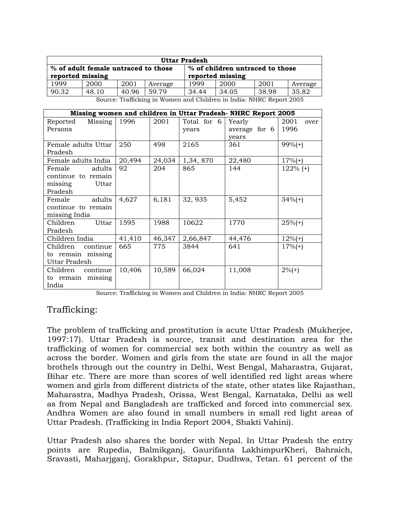| <b>Uttar Pradesh</b> |                                                                      |      |         |                                                     |      |      |         |
|----------------------|----------------------------------------------------------------------|------|---------|-----------------------------------------------------|------|------|---------|
| reported missing     | % of adult female untraced to those                                  |      |         | % of children untraced to those<br>reported missing |      |      |         |
| 1999                 | 2000                                                                 | 2001 | Average | 1999                                                | 2000 | 2001 | Average |
| 90.32                | 35.82<br>34.05<br>38.98<br>48.10<br>34.44<br>40.96<br>59.79          |      |         |                                                     |      |      |         |
|                      | Source: Trafficking in Women and Children in India: NHRC Report 2005 |      |         |                                                     |      |      |         |

**Missing women and children in Uttar Pradesh- NHRC Report 2005**  Reported Missing Persons 1996 | 2001 | Total for 6 years Yearly average for 6 years 2001 over 1996 Female adults Uttar Pradesh 250 498 2165 361 99%(+) Female adults India 20,494 24,034 1,34, 870 22,480 17%(+) Female adults continue to remain missing Uttar Pradesh 92 | 204 | 865 | 144 | 122% (+) Female adults continue to remain missing India  $4,627$  6,181 32, 935 5,452 34%(+) Children Uttar Pradesh 1595 1988 10622 1770 25%(+) Children India 41,410 46,347 2,66,847 44,476 12%(+) Children continue to remain missing Uttar Pradesh 665 775 3844 641 17%(+) Children continue to remain missing India 10,406 10,589 66,024 11,008 2%(+)

Source: Trafficking in Women and Children in India: NHRC Report 2005

#### Trafficking:

The problem of trafficking and prostitution is acute Uttar Pradesh (Mukherjee, 1997:17). Uttar Pradesh is source, transit and destination area for the trafficking of women for commercial sex both within the country as well as across the border. Women and girls from the state are found in all the major brothels through out the country in Delhi, West Bengal, Maharastra, Gujarat, Bihar etc. There are more than scores of well identified red light areas where women and girls from different districts of the state, other states like Rajasthan, Maharastra, Madhya Pradesh, Orissa, West Bengal, Karnataka, Delhi as well as from Nepal and Bangladesh are trafficked and forced into commercial sex. Andhra Women are also found in small numbers in small red light areas of Uttar Pradesh. (Trafficking in India Report 2004, Shakti Vahini).

Uttar Pradesh also shares the border with Nepal. In Uttar Pradesh the entry points are Rupedia, Balmikganj, Gaurifanta LakhimpurKheri, Bahraich, Sravasti, Maharjganj, Gorakhpur, Sitapur, Dudhwa, Tetan. 61 percent of the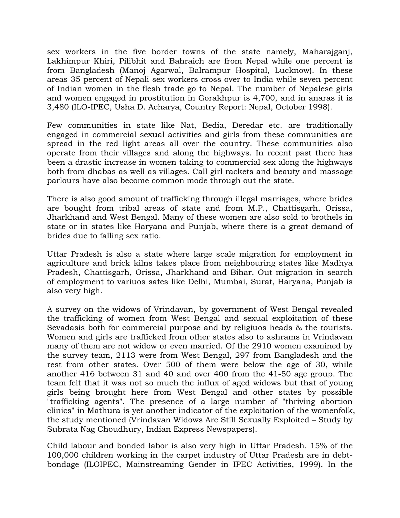sex workers in the five border towns of the state namely, Maharajganj, Lakhimpur Khiri, Pilibhit and Bahraich are from Nepal while one percent is from Bangladesh (Manoj Agarwal, Balrampur Hospital, Lucknow). In these areas 35 percent of Nepali sex workers cross over to India while seven percent of Indian women in the flesh trade go to Nepal. The number of Nepalese girls and women engaged in prostitution in Gorakhpur is 4,700, and in anaras it is 3,480 (ILO-IPEC, Usha D. Acharya, Country Report: Nepal, October 1998).

Few communities in state like Nat, Bedia, Deredar etc. are traditionally engaged in commercial sexual activities and girls from these communities are spread in the red light areas all over the country. These communities also operate from their villages and along the highways. In recent past there has been a drastic increase in women taking to commercial sex along the highways both from dhabas as well as villages. Call girl rackets and beauty and massage parlours have also become common mode through out the state.

There is also good amount of trafficking through illegal marriages, where brides are bought from tribal areas of state and from M.P., Chattisgarh, Orissa, Jharkhand and West Bengal. Many of these women are also sold to brothels in state or in states like Haryana and Punjab, where there is a great demand of brides due to falling sex ratio.

Uttar Pradesh is also a state where large scale migration for employment in agriculture and brick kilns takes place from neighbouring states like Madhya Pradesh, Chattisgarh, Orissa, Jharkhand and Bihar. Out migration in search of employment to variuos sates like Delhi, Mumbai, Surat, Haryana, Punjab is also very high.

A survey on the widows of Vrindavan, by government of West Bengal revealed the trafficking of women from West Bengal and sexual exploitation of these Sevadasis both for commercial purpose and by religiuos heads & the tourists. Women and girls are trafficked from other states also to ashrams in Vrindavan many of them are not widow or even married. Of the 2910 women examined by the survey team, 2113 were from West Bengal, 297 from Bangladesh and the rest from other states. Over 500 of them were below the age of 30, while another 416 between 31 and 40 and over 400 from the 41-50 age group. The team felt that it was not so much the influx of aged widows but that of young girls being brought here from West Bengal and other states by possible "trafficking agents". The presence of a large number of "thriving abortion clinics" in Mathura is yet another indicator of the exploitation of the womenfolk, the study mentioned (Vrindavan Widows Are Still Sexually Exploited – Study by Subrata Nag Choudhury, Indian Express Newspapers).

Child labour and bonded labor is also very high in Uttar Pradesh. 15% of the 100,000 children working in the carpet industry of Uttar Pradesh are in debtbondage (ILOIPEC, Mainstreaming Gender in IPEC Activities, 1999). In the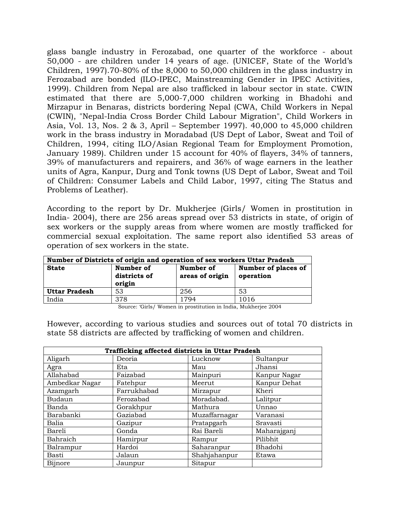glass bangle industry in Ferozabad, one quarter of the workforce - about 50,000 - are children under 14 years of age. (UNICEF, State of the World's Children, 1997).70-80% of the 8,000 to 50,000 children in the glass industry in Ferozabad are bonded (ILO-IPEC, Mainstreaming Gender in IPEC Activities, 1999). Children from Nepal are also trafficked in labour sector in state. CWIN estimated that there are 5,000-7,000 children working in Bhadohi and Mirzapur in Benaras, districts bordering Nepal (CWA, Child Workers in Nepal (CWIN), "Nepal-India Cross Border Child Labour Migration", Child Workers in Asia, Vol. 13, Nos. 2 & 3, April – September 1997). 40,000 to 45,000 children work in the brass industry in Moradabad (US Dept of Labor, Sweat and Toil of Children, 1994, citing ILO/Asian Regional Team for Employment Promotion, January 1989). Children under 15 account for 40% of flayers, 34% of tanners, 39% of manufacturers and repairers, and 36% of wage earners in the leather units of Agra, Kanpur, Durg and Tonk towns (US Dept of Labor, Sweat and Toil of Children: Consumer Labels and Child Labor, 1997, citing The Status and Problems of Leather).

According to the report by Dr. Mukherjee (Girls/ Women in prostitution in India- 2004), there are 256 areas spread over 53 districts in state, of origin of sex workers or the supply areas from where women are mostly trafficked for commercial sexual exploitation. The same report also identified 53 areas of operation of sex workers in the state.

| Number of Districts of origin and operation of sex workers Uttar Pradesh |                                     |                              |                                  |  |  |  |  |
|--------------------------------------------------------------------------|-------------------------------------|------------------------------|----------------------------------|--|--|--|--|
| <b>State</b>                                                             | Number of<br>districts of<br>origin | Number of<br>areas of origin | Number of places of<br>operation |  |  |  |  |
| Uttar Pradesh                                                            | 53                                  | 256                          | 53                               |  |  |  |  |
| India                                                                    | 378                                 | 1794                         | 1016                             |  |  |  |  |

Source: 'Girls/ Women in prostitution in India, Mukherjee 2004

However, according to various studies and sources out of total 70 districts in state 58 districts are affected by trafficking of women and children.

|                | Trafficking affected districts in Uttar Pradesh |               |              |  |  |  |  |  |  |
|----------------|-------------------------------------------------|---------------|--------------|--|--|--|--|--|--|
| Aligarh        | Deoria                                          | Lucknow       | Sultanpur    |  |  |  |  |  |  |
| Agra           | Eta                                             | Mau           | Jhansi       |  |  |  |  |  |  |
| Allahabad      | Faizabad                                        | Mainpuri      | Kanpur Nagar |  |  |  |  |  |  |
| Ambedkar Nagar | Fatehpur                                        | Meerut        | Kanpur Dehat |  |  |  |  |  |  |
| Azamgarh       | Farrukhabad                                     | Mirzapur      | Kheri        |  |  |  |  |  |  |
| Budaun         | Ferozabad                                       | Moradabad.    | Lalitpur     |  |  |  |  |  |  |
| Banda          | Gorakhpur                                       | Mathura       | Unnao        |  |  |  |  |  |  |
| Barabanki      | Gaziabad                                        | Muzaffarnagar | Varanasi     |  |  |  |  |  |  |
| Balia          | Gazipur                                         | Pratapgarh    | Sravasti     |  |  |  |  |  |  |
| Bareli         | Gonda                                           | Rai Bareli    | Maharajganj  |  |  |  |  |  |  |
| Bahraich       | Hamirpur                                        | Rampur        | Pilibhit     |  |  |  |  |  |  |
| Balrampur      | Hardoi                                          | Saharanpur    | Bhadohi      |  |  |  |  |  |  |
| Basti          | Jalaun                                          | Shahjahanpur  | Etawa        |  |  |  |  |  |  |
| <b>Bijnore</b> | Jaunpur                                         | Sitapur       |              |  |  |  |  |  |  |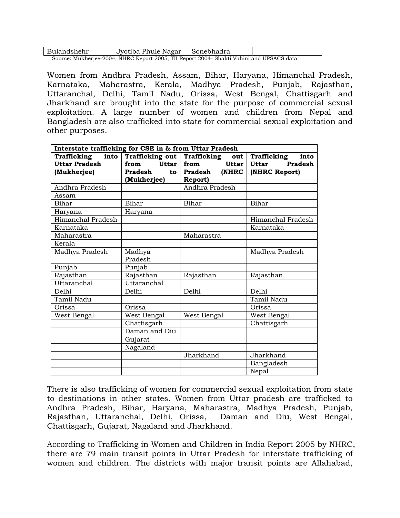| Bulandshehr                                                                               | Jyotiba Phule Nagar | ∣Sonebhadra |  |  |  |  |
|-------------------------------------------------------------------------------------------|---------------------|-------------|--|--|--|--|
| Source: Mukherjee-2004, NHRC Report 2005, TII Report 2004- Shakti Vahini and UPSACS data. |                     |             |  |  |  |  |

Women from Andhra Pradesh, Assam, Bihar, Haryana, Himanchal Pradesh, Karnataka, Maharastra, Kerala, Madhya Pradesh, Punjab, Rajasthan, Uttaranchal, Delhi, Tamil Nadu, Orissa, West Bengal, Chattisgarh and Jharkhand are brought into the state for the purpose of commercial sexual exploitation. A large number of women and children from Nepal and Bangladesh are also trafficked into state for commercial sexual exploitation and other purposes.

| Interstate trafficking for CSE in & from Uttar Pradesh |                        |                           |                         |
|--------------------------------------------------------|------------------------|---------------------------|-------------------------|
| into<br>Trafficking                                    | <b>Trafficking out</b> | <b>Trafficking</b><br>out | Trafficking<br>into     |
| <b>Uttar Pradesh</b>                                   | Uttar<br>from          | <b>Uttar</b><br>from      | Pradesh<br><b>Uttar</b> |
| (Mukherjee)                                            | Pradesh<br>to          | Pradesh<br>(NHRC          | (NHRC Report)           |
|                                                        | (Mukherjee)            | Report)                   |                         |
| Andhra Pradesh                                         |                        | Andhra Pradesh            |                         |
| Assam                                                  |                        |                           |                         |
| Bihar                                                  | Bihar                  | Bihar                     | Bihar                   |
| Haryana                                                | Haryana                |                           |                         |
| Himanchal Pradesh                                      |                        |                           | Himanchal Pradesh       |
| Karnataka                                              |                        |                           | Karnataka               |
| Maharastra                                             |                        | Maharastra                |                         |
| Kerala                                                 |                        |                           |                         |
| Madhya Pradesh                                         | Madhya                 |                           | Madhya Pradesh          |
|                                                        | Pradesh                |                           |                         |
| Punjab                                                 | Punjab                 |                           |                         |
| Rajasthan                                              | Rajasthan              | Rajasthan                 | Rajasthan               |
| <b>Uttaranchal</b>                                     | <b>Uttaranchal</b>     |                           |                         |
| Delhi                                                  | Delhi                  | Delhi                     | Delhi                   |
| Tamil Nadu                                             |                        |                           | Tamil Nadu              |
| Orissa                                                 | Orissa                 |                           | Orissa                  |
| West Bengal                                            | West Bengal            | West Bengal               | West Bengal             |
|                                                        | Chattisgarh            |                           | Chattisgarh             |
|                                                        | Daman and Diu          |                           |                         |
|                                                        | Gujarat                |                           |                         |
|                                                        | Nagaland               |                           |                         |
|                                                        |                        | Jharkhand                 | Jharkhand               |
|                                                        |                        |                           | Bangladesh              |
|                                                        |                        |                           | Nepal                   |

There is also trafficking of women for commercial sexual exploitation from state to destinations in other states. Women from Uttar pradesh are trafficked to Andhra Pradesh, Bihar, Haryana, Maharastra, Madhya Pradesh, Punjab, Rajasthan, Uttaranchal, Delhi, Orissa, Daman and Diu, West Bengal, Chattisgarh, Gujarat, Nagaland and Jharkhand.

According to Trafficking in Women and Children in India Report 2005 by NHRC, there are 79 main transit points in Uttar Pradesh for interstate trafficking of women and children. The districts with major transit points are Allahabad,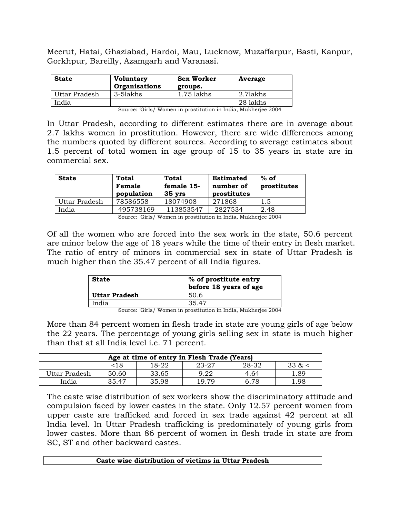Meerut, Hatai, Ghaziabad, Hardoi, Mau, Lucknow, Muzaffarpur, Basti, Kanpur, Gorkhpur, Bareilly, Azamgarh and Varanasi.

| <b>State</b>  | <b>Voluntary</b><br>Organisations | <b>Sex Worker</b><br>groups. | Average  |
|---------------|-----------------------------------|------------------------------|----------|
| Uttar Pradesh | 3-5lakhs                          | 1.75 lakhs                   | 2.71akhs |
| India         |                                   |                              | 28 lakhs |

Source: 'Girls/ Women in prostitution in India, Mukherjee 2004

In Uttar Pradesh, according to different estimates there are in average about 2.7 lakhs women in prostitution. However, there are wide differences among the numbers quoted by different sources. According to average estimates about 1.5 percent of total women in age group of 15 to 35 years in state are in commercial sex.

| <b>State</b>  | Total<br>Female<br>population | Total<br>female 15-<br>$35 \, \text{vrs}$ | <b>Estimated</b><br>number of<br>prostitutes | $%$ of<br>prostitutes |
|---------------|-------------------------------|-------------------------------------------|----------------------------------------------|-----------------------|
| Uttar Pradesh | 78586558                      | 18074908                                  | 271868                                       | 1.5                   |
| India         | 495738169                     | 113853547                                 | 2827534                                      | 2.48                  |

Source: 'Girls/ Women in prostitution in India, Mukherjee 2004

Of all the women who are forced into the sex work in the state, 50.6 percent are minor below the age of 18 years while the time of their entry in flesh market. The ratio of entry of minors in commercial sex in state of Uttar Pradesh is much higher than the 35.47 percent of all India figures.

| <b>State</b>  | % of prostitute entry<br>before 18 years of age |
|---------------|-------------------------------------------------|
| Uttar Pradesh | 50.6                                            |
| India         | 35.47                                           |

Source: 'Girls/ Women in prostitution in India, Mukherjee 2004

More than 84 percent women in flesh trade in state are young girls of age below the 22 years. The percentage of young girls selling sex in state is much higher than that at all India level i.e. 71 percent.

| Age at time of entry in Flesh Trade (Years) |       |       |       |       |         |  |  |  |  |  |  |  |
|---------------------------------------------|-------|-------|-------|-------|---------|--|--|--|--|--|--|--|
|                                             | <18   | 18-22 | 23-27 | 28-32 | 33 $\<$ |  |  |  |  |  |  |  |
| Uttar Pradesh                               | 50.60 | 33.65 | 9.22  | 4.64  | . 89    |  |  |  |  |  |  |  |
| India                                       | 35.47 | 35.98 | 10 70 | 6.78  | .98     |  |  |  |  |  |  |  |

The caste wise distribution of sex workers show the discriminatory attitude and compulsion faced by lower castes in the state. Only 12.57 percent women from upper caste are trafficked and forced in sex trade against 42 percent at all India level. In Uttar Pradesh trafficking is predominately of young girls from lower castes. More than 86 percent of women in flesh trade in state are from SC, ST and other backward castes.

| Caste wise distribution of victims in Uttar Pradesh |  |
|-----------------------------------------------------|--|
|-----------------------------------------------------|--|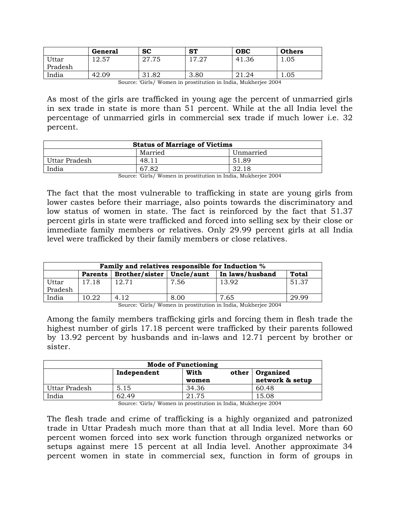|         | General           | <b>SC</b> | <b>ST</b>       | <b>OBC</b>        | <b>Others</b> |
|---------|-------------------|-----------|-----------------|-------------------|---------------|
| Uttar   | 57<br>റ<br>ا ن.∠. | 27.75     | 17 07<br>ا ہے . | 41.36             | 1.05          |
| Pradesh |                   |           |                 |                   |               |
| India   | 42.09             | 31.82     | 3.80            | $\Omega$<br>41.47 | 1.05          |

Source: 'Girls/ Women in prostitution in India, Mukherjee 2004

As most of the girls are trafficked in young age the percent of unmarried girls in sex trade in state is more than 51 percent. While at the all India level the percentage of unmarried girls in commercial sex trade if much lower i.e. 32 percent.

| Unmarried                                 |
|-------------------------------------------|
| 51.89                                     |
| 32.18                                     |
| $\alpha$ ( $\alpha$ , $\alpha$ ) $\alpha$ |

Source: 'Girls/ Women in prostitution in India, Mukherjee 2004

The fact that the most vulnerable to trafficking in state are young girls from lower castes before their marriage, also points towards the discriminatory and low status of women in state. The fact is reinforced by the fact that 51.37 percent girls in state were trafficked and forced into selling sex by their close or immediate family members or relatives. Only 29.99 percent girls at all India level were trafficked by their family members or close relatives.

| Family and relatives responsible for Induction % |                |                             |      |                 |              |  |  |  |  |  |  |  |
|--------------------------------------------------|----------------|-----------------------------|------|-----------------|--------------|--|--|--|--|--|--|--|
|                                                  | <b>Parents</b> | Brother/sister   Uncle/aunt |      | In laws/husband | <b>Total</b> |  |  |  |  |  |  |  |
| Uttar                                            | 17.18          | 12.71                       | 7.56 | 13.92           | 51.37        |  |  |  |  |  |  |  |
| Pradesh                                          |                |                             |      |                 |              |  |  |  |  |  |  |  |
| India                                            | 10.22          | 4.12                        | 8.00 | 7.65            | 29.99        |  |  |  |  |  |  |  |

Source: 'Girls/ Women in prostitution in India, Mukherjee 2004

Among the family members trafficking girls and forcing them in flesh trade the highest number of girls 17.18 percent were trafficked by their parents followed by 13.92 percent by husbands and in-laws and 12.71 percent by brother or sister.

| <b>Mode of Functioning</b> |             |       |                   |  |  |  |  |  |  |  |  |
|----------------------------|-------------|-------|-------------------|--|--|--|--|--|--|--|--|
|                            | Independent | With  | other   Organized |  |  |  |  |  |  |  |  |
|                            |             | women | network & setup   |  |  |  |  |  |  |  |  |
| l Uttar Pradesh            | 5.15        | 34.36 | 60.48             |  |  |  |  |  |  |  |  |
| India                      | 62.49       | 21.75 | 15.08             |  |  |  |  |  |  |  |  |

Source: 'Girls/ Women in prostitution in India, Mukherjee 2004

The flesh trade and crime of trafficking is a highly organized and patronized trade in Uttar Pradesh much more than that at all India level. More than 60 percent women forced into sex work function through organized networks or setups against mere 15 percent at all India level. Another approximate 34 percent women in state in commercial sex, function in form of groups in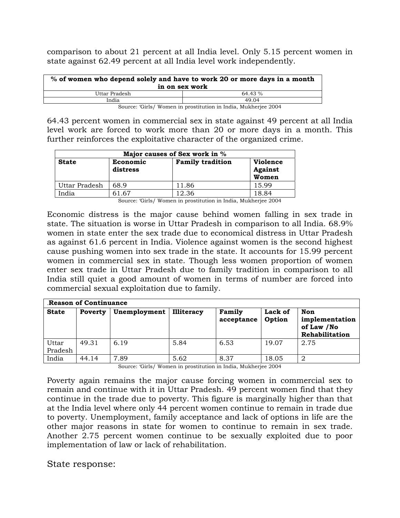comparison to about 21 percent at all India level. Only 5.15 percent women in state against 62.49 percent at all India level work independently.

| % of women who depend solely and have to work 20 or more days in a month<br>in on sex work |         |  |  |  |  |  |  |  |
|--------------------------------------------------------------------------------------------|---------|--|--|--|--|--|--|--|
| Uttar Pradesh                                                                              | 64.43 % |  |  |  |  |  |  |  |
| India                                                                                      | 49.04   |  |  |  |  |  |  |  |
| Source: 'Girls/ Women in prostitution in India, Mukherjee 2004                             |         |  |  |  |  |  |  |  |

64.43 percent women in commercial sex in state against 49 percent at all India level work are forced to work more than 20 or more days in a month. This further reinforces the exploitative character of the organized crime.

| Major causes of Sex work in % |                      |                         |                                            |  |  |  |  |  |  |  |
|-------------------------------|----------------------|-------------------------|--------------------------------------------|--|--|--|--|--|--|--|
| <b>State</b>                  | Economic<br>distress | <b>Family tradition</b> | <b>Violence</b><br><b>Against</b><br>Women |  |  |  |  |  |  |  |
| Uttar Pradesh                 | 68.9                 | 11.86                   | 15.99                                      |  |  |  |  |  |  |  |
| India                         | 61.67                | 12.36                   | 18.84                                      |  |  |  |  |  |  |  |

Source: 'Girls/ Women in prostitution in India, Mukherjee 2004

Economic distress is the major cause behind women falling in sex trade in state. The situation is worse in Uttar Pradesh in comparison to all India. 68.9% women in state enter the sex trade due to economical distress in Uttar Pradesh as against 61.6 percent in India. Violence against women is the second highest cause pushing women into sex trade in the state. It accounts for 15.99 percent women in commercial sex in state. Though less women proportion of women enter sex trade in Uttar Pradesh due to family tradition in comparison to all India still quiet a good amount of women in terms of number are forced into commercial sexual exploitation due to family.

|                  | <b>Reason of Continuance</b> |              |                   |                      |                   |                                                       |  |  |  |  |  |  |  |  |
|------------------|------------------------------|--------------|-------------------|----------------------|-------------------|-------------------------------------------------------|--|--|--|--|--|--|--|--|
| <b>State</b>     | Poverty                      | Unemployment | <b>Illiteracy</b> | Family<br>acceptance | Lack of<br>Option | Non<br>implementation<br>of Law /No<br>Rehabilitation |  |  |  |  |  |  |  |  |
| Uttar<br>Pradesh | 49.31                        | 6.19         | 5.84              | 6.53                 | 19.07             | 2.75                                                  |  |  |  |  |  |  |  |  |
| India            | 44.14                        | 7.89         | 5.62              | 8.37                 | 18.05             | 2                                                     |  |  |  |  |  |  |  |  |

Source: 'Girls/ Women in prostitution in India, Mukherjee 2004

Poverty again remains the major cause forcing women in commercial sex to remain and continue with it in Uttar Pradesh. 49 percent women find that they continue in the trade due to poverty. This figure is marginally higher than that at the India level where only 44 percent women continue to remain in trade due to poverty. Unemployment, family acceptance and lack of options in life are the other major reasons in state for women to continue to remain in sex trade. Another 2.75 percent women continue to be sexually exploited due to poor implementation of law or lack of rehabilitation.

State response: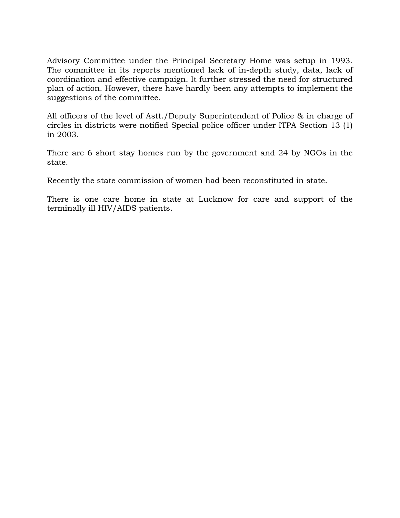Advisory Committee under the Principal Secretary Home was setup in 1993. The committee in its reports mentioned lack of in-depth study, data, lack of coordination and effective campaign. It further stressed the need for structured plan of action. However, there have hardly been any attempts to implement the suggestions of the committee.

All officers of the level of Astt./Deputy Superintendent of Police & in charge of circles in districts were notified Special police officer under ITPA Section 13 (1) in 2003.

There are 6 short stay homes run by the government and 24 by NGOs in the state.

Recently the state commission of women had been reconstituted in state.

There is one care home in state at Lucknow for care and support of the terminally ill HIV/AIDS patients.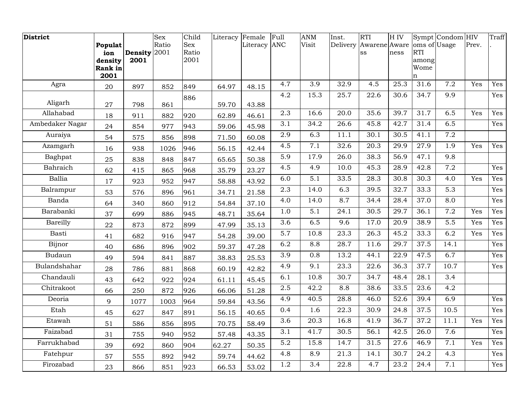| District        |                    |              | <b>Sex</b> | Child      | Literacy | Female       | Full             | <b>ANM</b>       | Inst.    | <b>RTI</b>       | H <sub>IV</sub> |               | Sympt Condom HIV |       | Traff             |
|-----------------|--------------------|--------------|------------|------------|----------|--------------|------------------|------------------|----------|------------------|-----------------|---------------|------------------|-------|-------------------|
|                 | <b>Populat</b>     |              | Ratio      | <b>Sex</b> |          | Literacy ANC |                  | Visit            | Delivery | Awarene Aware    |                 | oms of Usage  |                  | Prev. |                   |
|                 | ion                | Density 2001 |            | Ratio      |          |              |                  |                  |          | SS               | ness            | <b>RTI</b>    |                  |       |                   |
|                 | density<br>Rank in | 2001         |            | 2001       |          |              |                  |                  |          |                  |                 | among<br>Wome |                  |       |                   |
|                 | 2001               |              |            |            |          |              |                  |                  |          |                  |                 | n             |                  |       |                   |
| Agra            | 20                 | 897          | 852        | 849        | 64.97    | 48.15        | 4.7              | 3.9              | 32.9     | 4.5              | 25.3            | 31.6          | 7.2              | Yes   | Yes               |
|                 |                    |              |            | 886        |          |              | 4.2              | 15.3             | 25.7     | 22.6             | 30.6            | 34.7          | 9.9              |       | $\overline{Yes}$  |
| Aligarh         | 27                 | 798          | 861        |            | 59.70    | 43.88        |                  |                  |          |                  |                 |               |                  |       |                   |
| Allahabad       | 18                 | 911          | 882        | 920        | 62.89    | 46.61        | 2.3              | 16.6             | 20.0     | 35.6             | 39.7            | 31.7          | 6.5              | Yes   | Yes               |
| Ambedaker Nagar | 24                 | 854          | 977        | 943        | 59.06    | 45.98        | 3.1              | 34.2             | 26.6     | 45.8             | 42.7            | 31.4          | 6.5              |       | $\overline{Yes}$  |
| Auraiya         | 54                 | 575          | 856        | 898        | 71.50    | 60.08        | $\overline{2.9}$ | 6.3              | 11.1     | 30.1             | 30.5            | 41.1          | 7.2              |       |                   |
| Azamgarh        | 16                 | 938          | 1026       | 946        | 56.15    | 42.44        | 4.5              | 7.1              | 32.6     | 20.3             | 29.9            | 27.9          | 1.9              | Yes   | $\overline{Yes}$  |
| Baghpat         | 25                 | 838          | 848        | 847        | 65.65    | 50.38        | 5.9              | 17.9             | 26.0     | 38.3             | 56.9            | 47.1          | 9.8              |       |                   |
| Bahraich        | 62                 | 415          | 865        | 968        | 35.79    | 23.27        | 4.5              | 4.9              | 10.0     | 45.3             | 28.9            | 42.8          | 7.2              |       | $\overline{Yes}$  |
| Ballia          | 17                 | 923          | 952        | 947        | 58.88    | 43.92        | 6.0              | 5.1              | 33.5     | 28.3             | 30.8            | 30.3          | 4.0              | Yes   | Yes               |
| Balrampur       | 53                 | 576          | 896        | 961        | 34.71    | 21.58        | $\overline{2.3}$ | 14.0             | 6.3      | 39.5             | 32.7            | 33.3          | $\overline{5.3}$ |       | Yes               |
| Banda           | 64                 | 340          | 860        | 912        | 54.84    | 37.10        | 4.0              | 14.0             | 8.7      | 34.4             | 28.4            | 37.0          | 8.0              |       | $\overline{Yes}$  |
| Barabanki       | 37                 | 699          | 886        | 945        | 48.71    | 35.64        | 1.0              | $\overline{5.1}$ | 24.1     | 30.5             | 29.7            | 36.1          | 7.2              | Yes   | Yes               |
| Bareilly        | 22                 | 873          | 872        | 899        | 47.99    | 35.13        | 3.6              | 6.5              | 9.6      | 17.0             | 20.9            | 38.9          | $\overline{5.5}$ | Yes   | Yes               |
| Basti           | 41                 | 682          | 916        | 947        | 54.28    | 39.00        | 5.7              | 10.8             | 23.3     | 26.3             | 45.2            | 33.3          | 6.2              | Yes   | Yes               |
| Bijnor          | 40                 | 686          | 896        | 902        | 59.37    | 47.28        | 6.2              | 8.8              | 28.7     | 11.6             | 29.7            | 37.5          | 14.1             |       | Yes               |
| Budaun          | 49                 | 594          | 841        | 887        | 38.83    | 25.53        | 3.9              | 0.8              | 13.2     | 44.1             | 22.9            | 47.5          | 6.7              |       | $\overline{Yes}$  |
| Bulandshahar    | 28                 | 786          | 881        | 868        | 60.19    | 42.82        | 4.9              | $\overline{9.1}$ | 23.3     | 22.6             | 36.3            | 37.7          | 10.7             |       | $\overline{Y}$ es |
| Chandauli       | 43                 | 642          | 922        | 924        | 61.11    | 45.45        | 6.1              | 10.8             | 30.7     | 34.7             | 48.4            | 28.1          | 3.4              |       |                   |
| Chitrakoot      | 66                 | 250          | 872        | 926        | 66.06    | 51.28        | 2.5              | 42.2             | 8.8      | 38.6             | 33.5            | 23.6          | 4.2              |       |                   |
| Deoria          | 9                  | 1077         | 1003       | 964        | 59.84    | 43.56        | 4.9              | 40.5             | 28.8     | 46.0             | 52.6            | 39.4          | 6.9              |       | Yes               |
| Etah            | 45                 | 627          | 847        | 891        | 56.15    | 40.65        | 0.4              | 1.6              | 22.3     | 30.9             | 24.8            | 37.5          | 10.5             |       | Yes               |
| Etawah          | 51                 | 586          | 856        | 895        | 70.75    | 58.49        | 3.6              | 20.3             | 16.8     | 41.9             | 36.7            | 37.2          | 11.1             | Yes   | $\overline{Yes}$  |
| Faizabad        | 31                 | 755          | 940        | 952        | 57.48    | 43.35        | 3.1              | 41.7             | 30.5     | 56.1             | 42.5            | 26.0          | 7.6              |       | Yes               |
| Farrukhabad     | 39                 | 692          | 860        | 904        | 62.27    | 50.35        | 5.2              | 15.8             | 14.7     | 31.5             | 27.6            | 46.9          | 7.1              | Yes   | Yes               |
| Fatehpur        | 57                 | 555          | 892        | 942        | 59.74    | 44.62        | 4.8              | 8.9              | 21.3     | 14.1             | 30.7            | 24.2          | 4.3              |       | Yes               |
| Firozabad       | 23                 | 866          | 851        | 923        | 66.53    | 53.02        | 1.2              | $\overline{3.4}$ | 22.8     | $\overline{4.7}$ | 23.2            | 24.4          | 7.1              |       | Yes               |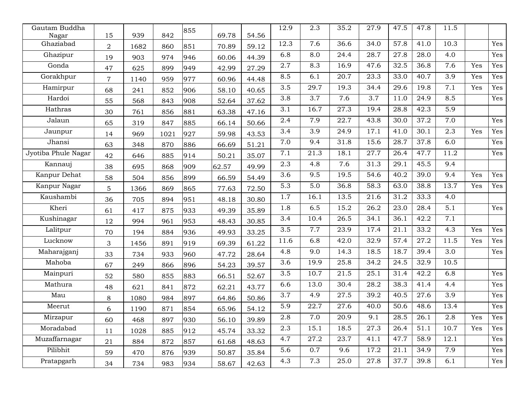| Gautam Buddha       | 15             | 939  | 842  | 855 | 69.78 | 54.56 | 12.9 | 2.3     | 35.2 | 27.9 | 47.5 | 47.8              | 11.5             |     |     |
|---------------------|----------------|------|------|-----|-------|-------|------|---------|------|------|------|-------------------|------------------|-----|-----|
| Nagar<br>Ghaziabad  | $\overline{2}$ | 1682 | 860  | 851 | 70.89 | 59.12 | 12.3 | 7.6     | 36.6 | 34.0 | 57.8 | 41.0              | 10.3             |     | Yes |
| Ghazipur            | 19             | 903  | 974  | 946 | 60.06 | 44.39 | 6.8  | 8.0     | 24.4 | 28.7 | 27.8 | 28.0              | 4.0              |     | Yes |
| Gonda               | 47             | 625  | 899  | 949 | 42.99 | 27.29 | 2.7  | 8.3     | 16.9 | 47.6 | 32.5 | 36.8              | 7.6              | Yes | Yes |
| Gorakhpur           | $\overline{7}$ | 1140 | 959  | 977 | 60.96 | 44.48 | 8.5  | 6.1     | 20.7 | 23.3 | 33.0 | 40.7              | 3.9              | Yes | Yes |
| Hamirpur            | 68             | 241  | 852  | 906 | 58.10 | 40.65 | 3.5  | 29.7    | 19.3 | 34.4 | 29.6 | 19.8              | 7.1              | Yes | Yes |
| Hardoi              | 55             | 568  | 843  | 908 | 52.64 | 37.62 | 3.8  | 3.7     | 7.6  | 3.7  | 11.0 | 24.9              | 8.5              |     | Yes |
| Hathras             | 30             | 761  | 856  | 881 | 63.38 | 47.16 | 3.1  | 16.7    | 27.3 | 19.4 | 28.8 | 42.3              | 5.9              |     |     |
| Jalaun              | 65             | 319  | 847  | 885 | 66.14 | 50.66 | 2.4  | 7.9     | 22.7 | 43.8 | 30.0 | 37.2              | 7.0              |     | Yes |
| Jaunpur             | 14             | 969  | 1021 | 927 | 59.98 | 43.53 | 3.4  | 3.9     | 24.9 | 17.1 | 41.0 | 30.1              | $\overline{2.3}$ | Yes | Yes |
| Jhansi              | 63             | 348  | 870  | 886 | 66.69 | 51.21 | 7.0  | 9.4     | 31.8 | 15.6 | 28.7 | $\overline{37.8}$ | 6.0              |     | Yes |
| Jyotiba Phule Nagar | 42             | 646  | 885  | 914 | 50.21 | 35.07 | 7.1  | 21.3    | 18.1 | 27.7 | 26.4 | 47.7              | 11.2             |     | Yes |
| Kannauj             | 38             | 695  | 868  | 909 | 62.57 | 49.99 | 2.3  | 4.8     | 7.6  | 31.3 | 29.1 | 45.5              | 9.4              |     |     |
| Kanpur Dehat        | 58             | 504  | 856  | 899 | 66.59 | 54.49 | 3.6  | 9.5     | 19.5 | 54.6 | 40.2 | 39.0              | 9.4              | Yes | Yes |
| Kanpur Nagar        | $\sqrt{5}$     | 1366 | 869  | 865 | 77.63 | 72.50 | 5.3  | 5.0     | 36.8 | 58.3 | 63.0 | 38.8              | 13.7             | Yes | Yes |
| Kaushambi           | 36             | 705  | 894  | 951 | 48.18 | 30.80 | 1.7  | 16.1    | 13.5 | 21.6 | 31.2 | 33.3              | 4.0              |     |     |
| Kheri               | 61             | 417  | 875  | 933 | 49.39 | 35.89 | 1.8  | 6.5     | 15.2 | 26.2 | 23.0 | 28.4              | 5.1              |     | Yes |
| Kushinagar          | 12             | 994  | 961  | 953 | 48.43 | 30.85 | 3.4  | 10.4    | 26.5 | 34.1 | 36.1 | 42.2              | 7.1              |     |     |
| Lalitpur            | 70             | 194  | 884  | 936 | 49.93 | 33.25 | 3.5  | 7.7     | 23.9 | 17.4 | 21.1 | 33.2              | 4.3              | Yes | Yes |
| Lucknow             | $\mathfrak 3$  | 1456 | 891  | 919 | 69.39 | 61.22 | 11.6 | 6.8     | 42.0 | 32.9 | 57.4 | 27.2              | 11.5             | Yes | Yes |
| Maharajganj         | 33             | 734  | 933  | 960 | 47.72 | 28.64 | 4.8  | 9.0     | 14.3 | 18.5 | 18.7 | 39.4              | 3.0              |     | Yes |
| Mahoba              | 67             | 249  | 866  | 896 | 54.23 | 39.57 | 3.6  | 19.9    | 25.8 | 34.2 | 24.5 | 32.9              | 10.5             |     |     |
| Mainpuri            | 52             | 580  | 855  | 883 | 66.51 | 52.67 | 3.5  | 10.7    | 21.5 | 25.1 | 31.4 | 42.2              | 6.8              |     | Yes |
| Mathura             | 48             | 621  | 841  | 872 | 62.21 | 43.77 | 6.6  | 13.0    | 30.4 | 28.2 | 38.3 | 41.4              | 4.4              |     | Yes |
| Mau                 | $8\,$          | 1080 | 984  | 897 | 64.86 | 50.86 | 3.7  | 4.9     | 27.5 | 39.2 | 40.5 | 27.6              | 3.9              |     | Yes |
| Meerut              | 6              | 1190 | 871  | 854 | 65.96 | 54.12 | 5.9  | 22.7    | 27.6 | 40.0 | 50.6 | 48.6              | 13.4             |     | Yes |
| Mirzapur            | 60             | 468  | 897  | 930 | 56.10 | 39.89 | 2.8  | $7.0\,$ | 20.9 | 9.1  | 28.5 | 26.1              | $2.8\,$          | Yes | Yes |
| Moradabad           | 11             | 1028 | 885  | 912 | 45.74 | 33.32 | 2.3  | 15.1    | 18.5 | 27.3 | 26.4 | 51.1              | 10.7             | Yes | Yes |
| Muzaffarnagar       | 21             | 884  | 872  | 857 | 61.68 | 48.63 | 4.7  | 27.2    | 23.7 | 41.1 | 47.7 | 58.9              | 12.1             |     | Yes |
| Pilibhit            | 59             | 470  | 876  | 939 | 50.87 | 35.84 | 5.6  | 0.7     | 9.6  | 17.2 | 21.1 | 34.9              | 7.9              |     | Yes |
| Pratapgarh          | 34             | 734  | 983  | 934 | 58.67 | 42.63 | 4.3  | 7.3     | 25.0 | 27.8 | 37.7 | 39.8              | 6.1              |     | Yes |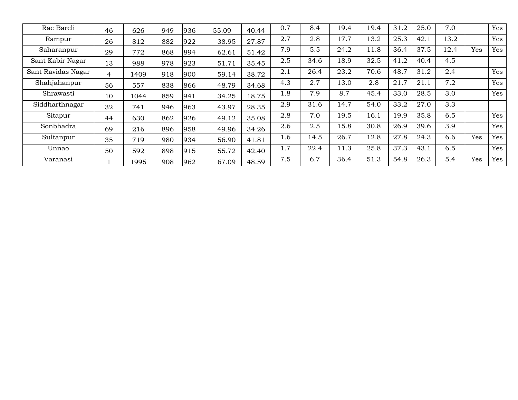| Rae Bareli         | 46 | 626  | 949 | 936 | 55.09 | 40.44 | 0.7 | 8.4  | 19.4 | 19.4 | 31.2 | 25.0 | 7.0  |     | Yes |
|--------------------|----|------|-----|-----|-------|-------|-----|------|------|------|------|------|------|-----|-----|
| Rampur             | 26 | 812  | 882 | 922 | 38.95 | 27.87 | 2.7 | 2.8  | 17.7 | 13.2 | 25.3 | 42.1 | 13.2 |     | Yes |
| Saharanpur         | 29 | 772  | 868 | 894 | 62.61 | 51.42 | 7.9 | 5.5  | 24.2 | 11.8 | 36.4 | 37.5 | 12.4 | Yes | Yes |
| Sant Kabir Nagar   | 13 | 988  | 978 | 923 | 51.71 | 35.45 | 2.5 | 34.6 | 18.9 | 32.5 | 41.2 | 40.4 | 4.5  |     |     |
| Sant Ravidas Nagar | 4  | 1409 | 918 | 900 | 59.14 | 38.72 | 2.1 | 26.4 | 23.2 | 70.6 | 48.7 | 31.2 | 2.4  |     | Yes |
| Shahjahanpur       | 56 | 557  | 838 | 866 | 48.79 | 34.68 | 4.3 | 2.7  | 13.0 | 2.8  | 21.7 | 21.1 | 7.2  |     | Yes |
| Shrawasti          | 10 | 1044 | 859 | 941 | 34.25 | 18.75 | 1.8 | 7.9  | 8.7  | 45.4 | 33.0 | 28.5 | 3.0  |     | Yes |
| Siddharthnagar     | 32 | 741  | 946 | 963 | 43.97 | 28.35 | 2.9 | 31.6 | 14.7 | 54.0 | 33.2 | 27.0 | 3.3  |     |     |
| Sitapur            | 44 | 630  | 862 | 926 | 49.12 | 35.08 | 2.8 | 7.0  | 19.5 | 16.1 | 19.9 | 35.8 | 6.5  |     | Yes |
| Sonbhadra          | 69 | 216  | 896 | 958 | 49.96 | 34.26 | 2.6 | 2.5  | 15.8 | 30.8 | 26.9 | 39.6 | 3.9  |     | Yes |
| Sultanpur          | 35 | 719  | 980 | 934 | 56.90 | 41.81 | 1.6 | 14.5 | 26.7 | 12.8 | 27.8 | 24.3 | 6.6  | Yes | Yes |
| Unnao              | 50 | 592  | 898 | 915 | 55.72 | 42.40 | 1.7 | 22.4 | 11.3 | 25.8 | 37.3 | 43.1 | 6.5  |     | Yes |
| Varanasi           |    | 1995 | 908 | 962 | 67.09 | 48.59 | 7.5 | 6.7  | 36.4 | 51.3 | 54.8 | 26.3 | 5.4  | Yes | Yes |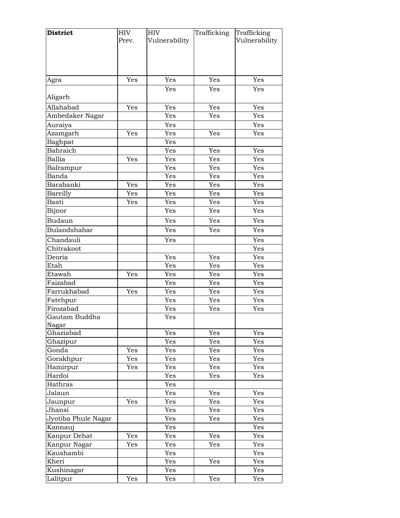| Vulnerability<br>Vulnerability<br>Prev.<br>Yes<br>Yes<br>Yes<br>Yes<br>Agra<br>Yes<br>Yes<br>Yes<br>Aligarh<br>Allahabad<br>Yes<br>Yes<br>Yes<br>Yes<br>Ambedaker Nagar<br>Yes<br>Yes<br>Yes<br>Yes<br>Yes<br>Auraiya<br>Yes<br>Azamgarh<br>Yes<br>Yes<br>Yes<br>Baghpat<br>Yes<br>Bahraich<br>Yes<br>Yes<br>Yes<br>Yes<br><b>Ballia</b><br>Yes<br>Yes<br>Yes<br>Yes<br>Yes<br>Yes<br>Balrampur<br>Banda<br>Yes<br>Yes<br>Yes<br>Yes<br>Barabanki<br>Yes<br>Yes<br>Yes<br>Yes<br>Yes<br>Yes<br>Yes<br>Bareilly<br>Basti<br>Yes<br>Yes<br>Yes<br>Yes<br>Yes<br>Yes<br>Yes<br>Bijnor<br><b>Budaun</b><br>Yes<br>Yes<br>Yes<br>Bulandshahar<br>Yes<br>Yes<br>Yes<br>Chandauli<br>Yes<br>Yes<br>Chitrakoot<br>Yes<br>Deoria<br>Yes<br>Yes<br>Yes<br>Yes<br>Yes<br>Yes<br>Etah<br>Etawah<br>Yes<br>Yes<br>Yes<br>Yes<br>Faizabad<br>Yes<br>Yes<br>Yes<br>Farrukhabad<br>Yes<br>Yes<br>Yes<br>Yes<br>Yes<br>Yes<br>Yes<br>Fatehpur<br>Firozabad<br>Yes<br>Yes<br>Yes<br>Gautam Buddha<br>Yes<br>Nagar<br>Ghaziabad<br>Yes<br>Yes<br>Yes<br>Ghazipur<br>Yes<br>Yes<br>Yes<br>Gonda<br>Yes<br>Yes<br>Yes<br>Yes<br>Gorakhpur<br>Yes<br>Yes<br>Yes<br>Yes<br>Yes<br>Yes<br>Hamirpur<br>Yes<br>Yes<br>Hardoi<br>Yes<br>Yes<br>Yes<br>Hathras<br>Yes<br>Jalaun<br>Yes<br>Yes<br>Yes<br>Yes<br>Yes<br>Yes<br>Yes<br>Jaunpur<br>Yes<br>Yes<br>Yes<br>Jhansi<br>Jyotiba Phule Nagar<br>Yes<br>Yes<br>Yes<br>Yes<br>Kannauj<br>Yes<br>Kanpur Dehat<br>Yes<br>Yes<br>Yes<br>Yes<br>Kanpur Nagar<br>Yes<br>Yes<br>Yes<br>Yes<br>Kaushambi<br>Yes<br>Yes<br>Yes<br>Kheri<br>Yes<br>Yes<br>Yes<br>Kushinagar<br>Yes | <b>District</b> | <b>HIV</b> | <b>HIV</b> | Trafficking | Trafficking |
|--------------------------------------------------------------------------------------------------------------------------------------------------------------------------------------------------------------------------------------------------------------------------------------------------------------------------------------------------------------------------------------------------------------------------------------------------------------------------------------------------------------------------------------------------------------------------------------------------------------------------------------------------------------------------------------------------------------------------------------------------------------------------------------------------------------------------------------------------------------------------------------------------------------------------------------------------------------------------------------------------------------------------------------------------------------------------------------------------------------------------------------------------------------------------------------------------------------------------------------------------------------------------------------------------------------------------------------------------------------------------------------------------------------------------------------------------------------------------------------------------------------------------------------------------------------------------------------------------|-----------------|------------|------------|-------------|-------------|
|                                                                                                                                                                                                                                                                                                                                                                                                                                                                                                                                                                                                                                                                                                                                                                                                                                                                                                                                                                                                                                                                                                                                                                                                                                                                                                                                                                                                                                                                                                                                                                                                  |                 |            |            |             |             |
|                                                                                                                                                                                                                                                                                                                                                                                                                                                                                                                                                                                                                                                                                                                                                                                                                                                                                                                                                                                                                                                                                                                                                                                                                                                                                                                                                                                                                                                                                                                                                                                                  |                 |            |            |             |             |
|                                                                                                                                                                                                                                                                                                                                                                                                                                                                                                                                                                                                                                                                                                                                                                                                                                                                                                                                                                                                                                                                                                                                                                                                                                                                                                                                                                                                                                                                                                                                                                                                  |                 |            |            |             |             |
|                                                                                                                                                                                                                                                                                                                                                                                                                                                                                                                                                                                                                                                                                                                                                                                                                                                                                                                                                                                                                                                                                                                                                                                                                                                                                                                                                                                                                                                                                                                                                                                                  |                 |            |            |             |             |
|                                                                                                                                                                                                                                                                                                                                                                                                                                                                                                                                                                                                                                                                                                                                                                                                                                                                                                                                                                                                                                                                                                                                                                                                                                                                                                                                                                                                                                                                                                                                                                                                  |                 |            |            |             |             |
|                                                                                                                                                                                                                                                                                                                                                                                                                                                                                                                                                                                                                                                                                                                                                                                                                                                                                                                                                                                                                                                                                                                                                                                                                                                                                                                                                                                                                                                                                                                                                                                                  |                 |            |            |             |             |
|                                                                                                                                                                                                                                                                                                                                                                                                                                                                                                                                                                                                                                                                                                                                                                                                                                                                                                                                                                                                                                                                                                                                                                                                                                                                                                                                                                                                                                                                                                                                                                                                  |                 |            |            |             |             |
|                                                                                                                                                                                                                                                                                                                                                                                                                                                                                                                                                                                                                                                                                                                                                                                                                                                                                                                                                                                                                                                                                                                                                                                                                                                                                                                                                                                                                                                                                                                                                                                                  |                 |            |            |             |             |
|                                                                                                                                                                                                                                                                                                                                                                                                                                                                                                                                                                                                                                                                                                                                                                                                                                                                                                                                                                                                                                                                                                                                                                                                                                                                                                                                                                                                                                                                                                                                                                                                  |                 |            |            |             |             |
|                                                                                                                                                                                                                                                                                                                                                                                                                                                                                                                                                                                                                                                                                                                                                                                                                                                                                                                                                                                                                                                                                                                                                                                                                                                                                                                                                                                                                                                                                                                                                                                                  |                 |            |            |             |             |
|                                                                                                                                                                                                                                                                                                                                                                                                                                                                                                                                                                                                                                                                                                                                                                                                                                                                                                                                                                                                                                                                                                                                                                                                                                                                                                                                                                                                                                                                                                                                                                                                  |                 |            |            |             |             |
|                                                                                                                                                                                                                                                                                                                                                                                                                                                                                                                                                                                                                                                                                                                                                                                                                                                                                                                                                                                                                                                                                                                                                                                                                                                                                                                                                                                                                                                                                                                                                                                                  |                 |            |            |             |             |
|                                                                                                                                                                                                                                                                                                                                                                                                                                                                                                                                                                                                                                                                                                                                                                                                                                                                                                                                                                                                                                                                                                                                                                                                                                                                                                                                                                                                                                                                                                                                                                                                  |                 |            |            |             |             |
|                                                                                                                                                                                                                                                                                                                                                                                                                                                                                                                                                                                                                                                                                                                                                                                                                                                                                                                                                                                                                                                                                                                                                                                                                                                                                                                                                                                                                                                                                                                                                                                                  |                 |            |            |             |             |
|                                                                                                                                                                                                                                                                                                                                                                                                                                                                                                                                                                                                                                                                                                                                                                                                                                                                                                                                                                                                                                                                                                                                                                                                                                                                                                                                                                                                                                                                                                                                                                                                  |                 |            |            |             |             |
|                                                                                                                                                                                                                                                                                                                                                                                                                                                                                                                                                                                                                                                                                                                                                                                                                                                                                                                                                                                                                                                                                                                                                                                                                                                                                                                                                                                                                                                                                                                                                                                                  |                 |            |            |             |             |
|                                                                                                                                                                                                                                                                                                                                                                                                                                                                                                                                                                                                                                                                                                                                                                                                                                                                                                                                                                                                                                                                                                                                                                                                                                                                                                                                                                                                                                                                                                                                                                                                  |                 |            |            |             |             |
|                                                                                                                                                                                                                                                                                                                                                                                                                                                                                                                                                                                                                                                                                                                                                                                                                                                                                                                                                                                                                                                                                                                                                                                                                                                                                                                                                                                                                                                                                                                                                                                                  |                 |            |            |             |             |
|                                                                                                                                                                                                                                                                                                                                                                                                                                                                                                                                                                                                                                                                                                                                                                                                                                                                                                                                                                                                                                                                                                                                                                                                                                                                                                                                                                                                                                                                                                                                                                                                  |                 |            |            |             |             |
|                                                                                                                                                                                                                                                                                                                                                                                                                                                                                                                                                                                                                                                                                                                                                                                                                                                                                                                                                                                                                                                                                                                                                                                                                                                                                                                                                                                                                                                                                                                                                                                                  |                 |            |            |             |             |
|                                                                                                                                                                                                                                                                                                                                                                                                                                                                                                                                                                                                                                                                                                                                                                                                                                                                                                                                                                                                                                                                                                                                                                                                                                                                                                                                                                                                                                                                                                                                                                                                  |                 |            |            |             |             |
|                                                                                                                                                                                                                                                                                                                                                                                                                                                                                                                                                                                                                                                                                                                                                                                                                                                                                                                                                                                                                                                                                                                                                                                                                                                                                                                                                                                                                                                                                                                                                                                                  |                 |            |            |             |             |
|                                                                                                                                                                                                                                                                                                                                                                                                                                                                                                                                                                                                                                                                                                                                                                                                                                                                                                                                                                                                                                                                                                                                                                                                                                                                                                                                                                                                                                                                                                                                                                                                  |                 |            |            |             |             |
|                                                                                                                                                                                                                                                                                                                                                                                                                                                                                                                                                                                                                                                                                                                                                                                                                                                                                                                                                                                                                                                                                                                                                                                                                                                                                                                                                                                                                                                                                                                                                                                                  |                 |            |            |             |             |
|                                                                                                                                                                                                                                                                                                                                                                                                                                                                                                                                                                                                                                                                                                                                                                                                                                                                                                                                                                                                                                                                                                                                                                                                                                                                                                                                                                                                                                                                                                                                                                                                  |                 |            |            |             |             |
|                                                                                                                                                                                                                                                                                                                                                                                                                                                                                                                                                                                                                                                                                                                                                                                                                                                                                                                                                                                                                                                                                                                                                                                                                                                                                                                                                                                                                                                                                                                                                                                                  |                 |            |            |             |             |
|                                                                                                                                                                                                                                                                                                                                                                                                                                                                                                                                                                                                                                                                                                                                                                                                                                                                                                                                                                                                                                                                                                                                                                                                                                                                                                                                                                                                                                                                                                                                                                                                  |                 |            |            |             |             |
|                                                                                                                                                                                                                                                                                                                                                                                                                                                                                                                                                                                                                                                                                                                                                                                                                                                                                                                                                                                                                                                                                                                                                                                                                                                                                                                                                                                                                                                                                                                                                                                                  |                 |            |            |             |             |
|                                                                                                                                                                                                                                                                                                                                                                                                                                                                                                                                                                                                                                                                                                                                                                                                                                                                                                                                                                                                                                                                                                                                                                                                                                                                                                                                                                                                                                                                                                                                                                                                  |                 |            |            |             |             |
|                                                                                                                                                                                                                                                                                                                                                                                                                                                                                                                                                                                                                                                                                                                                                                                                                                                                                                                                                                                                                                                                                                                                                                                                                                                                                                                                                                                                                                                                                                                                                                                                  |                 |            |            |             |             |
|                                                                                                                                                                                                                                                                                                                                                                                                                                                                                                                                                                                                                                                                                                                                                                                                                                                                                                                                                                                                                                                                                                                                                                                                                                                                                                                                                                                                                                                                                                                                                                                                  |                 |            |            |             |             |
|                                                                                                                                                                                                                                                                                                                                                                                                                                                                                                                                                                                                                                                                                                                                                                                                                                                                                                                                                                                                                                                                                                                                                                                                                                                                                                                                                                                                                                                                                                                                                                                                  |                 |            |            |             |             |
|                                                                                                                                                                                                                                                                                                                                                                                                                                                                                                                                                                                                                                                                                                                                                                                                                                                                                                                                                                                                                                                                                                                                                                                                                                                                                                                                                                                                                                                                                                                                                                                                  |                 |            |            |             |             |
|                                                                                                                                                                                                                                                                                                                                                                                                                                                                                                                                                                                                                                                                                                                                                                                                                                                                                                                                                                                                                                                                                                                                                                                                                                                                                                                                                                                                                                                                                                                                                                                                  |                 |            |            |             |             |
|                                                                                                                                                                                                                                                                                                                                                                                                                                                                                                                                                                                                                                                                                                                                                                                                                                                                                                                                                                                                                                                                                                                                                                                                                                                                                                                                                                                                                                                                                                                                                                                                  |                 |            |            |             |             |
|                                                                                                                                                                                                                                                                                                                                                                                                                                                                                                                                                                                                                                                                                                                                                                                                                                                                                                                                                                                                                                                                                                                                                                                                                                                                                                                                                                                                                                                                                                                                                                                                  |                 |            |            |             |             |
|                                                                                                                                                                                                                                                                                                                                                                                                                                                                                                                                                                                                                                                                                                                                                                                                                                                                                                                                                                                                                                                                                                                                                                                                                                                                                                                                                                                                                                                                                                                                                                                                  |                 |            |            |             |             |
|                                                                                                                                                                                                                                                                                                                                                                                                                                                                                                                                                                                                                                                                                                                                                                                                                                                                                                                                                                                                                                                                                                                                                                                                                                                                                                                                                                                                                                                                                                                                                                                                  |                 |            |            |             |             |
|                                                                                                                                                                                                                                                                                                                                                                                                                                                                                                                                                                                                                                                                                                                                                                                                                                                                                                                                                                                                                                                                                                                                                                                                                                                                                                                                                                                                                                                                                                                                                                                                  |                 |            |            |             |             |
|                                                                                                                                                                                                                                                                                                                                                                                                                                                                                                                                                                                                                                                                                                                                                                                                                                                                                                                                                                                                                                                                                                                                                                                                                                                                                                                                                                                                                                                                                                                                                                                                  |                 |            |            |             |             |
|                                                                                                                                                                                                                                                                                                                                                                                                                                                                                                                                                                                                                                                                                                                                                                                                                                                                                                                                                                                                                                                                                                                                                                                                                                                                                                                                                                                                                                                                                                                                                                                                  |                 |            |            |             |             |
|                                                                                                                                                                                                                                                                                                                                                                                                                                                                                                                                                                                                                                                                                                                                                                                                                                                                                                                                                                                                                                                                                                                                                                                                                                                                                                                                                                                                                                                                                                                                                                                                  |                 |            |            |             |             |
|                                                                                                                                                                                                                                                                                                                                                                                                                                                                                                                                                                                                                                                                                                                                                                                                                                                                                                                                                                                                                                                                                                                                                                                                                                                                                                                                                                                                                                                                                                                                                                                                  |                 |            |            |             |             |
|                                                                                                                                                                                                                                                                                                                                                                                                                                                                                                                                                                                                                                                                                                                                                                                                                                                                                                                                                                                                                                                                                                                                                                                                                                                                                                                                                                                                                                                                                                                                                                                                  |                 |            |            |             |             |
|                                                                                                                                                                                                                                                                                                                                                                                                                                                                                                                                                                                                                                                                                                                                                                                                                                                                                                                                                                                                                                                                                                                                                                                                                                                                                                                                                                                                                                                                                                                                                                                                  |                 |            |            |             |             |
|                                                                                                                                                                                                                                                                                                                                                                                                                                                                                                                                                                                                                                                                                                                                                                                                                                                                                                                                                                                                                                                                                                                                                                                                                                                                                                                                                                                                                                                                                                                                                                                                  |                 |            |            |             |             |
|                                                                                                                                                                                                                                                                                                                                                                                                                                                                                                                                                                                                                                                                                                                                                                                                                                                                                                                                                                                                                                                                                                                                                                                                                                                                                                                                                                                                                                                                                                                                                                                                  |                 |            |            |             |             |
|                                                                                                                                                                                                                                                                                                                                                                                                                                                                                                                                                                                                                                                                                                                                                                                                                                                                                                                                                                                                                                                                                                                                                                                                                                                                                                                                                                                                                                                                                                                                                                                                  |                 |            |            |             |             |
|                                                                                                                                                                                                                                                                                                                                                                                                                                                                                                                                                                                                                                                                                                                                                                                                                                                                                                                                                                                                                                                                                                                                                                                                                                                                                                                                                                                                                                                                                                                                                                                                  |                 |            |            |             |             |
|                                                                                                                                                                                                                                                                                                                                                                                                                                                                                                                                                                                                                                                                                                                                                                                                                                                                                                                                                                                                                                                                                                                                                                                                                                                                                                                                                                                                                                                                                                                                                                                                  |                 |            |            |             |             |
|                                                                                                                                                                                                                                                                                                                                                                                                                                                                                                                                                                                                                                                                                                                                                                                                                                                                                                                                                                                                                                                                                                                                                                                                                                                                                                                                                                                                                                                                                                                                                                                                  |                 |            |            |             |             |
|                                                                                                                                                                                                                                                                                                                                                                                                                                                                                                                                                                                                                                                                                                                                                                                                                                                                                                                                                                                                                                                                                                                                                                                                                                                                                                                                                                                                                                                                                                                                                                                                  | Lalitpur        | Yes        | Yes        | Yes         | Yes         |